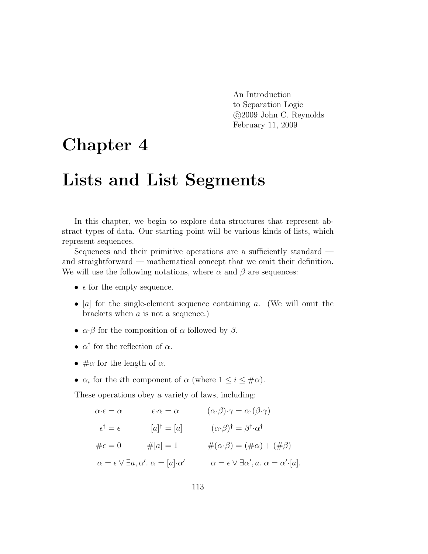An Introduction to Separation Logic c 2009 John C. Reynolds February 11, 2009

# Chapter 4

# Lists and List Segments

In this chapter, we begin to explore data structures that represent abstract types of data. Our starting point will be various kinds of lists, which represent sequences.

Sequences and their primitive operations are a sufficiently standard and straightforward — mathematical concept that we omit their definition. We will use the following notations, where  $\alpha$  and  $\beta$  are sequences:

- $\epsilon$  for the empty sequence.
- [a] for the single-element sequence containing a. (We will omit the brackets when  $a$  is not a sequence.)
- $\alpha \cdot \beta$  for the composition of  $\alpha$  followed by  $\beta$ .
- $\alpha^{\dagger}$  for the reflection of  $\alpha$ .
- $\#\alpha$  for the length of  $\alpha$ .
- $\alpha_i$  for the *i*th component of  $\alpha$  (where  $1 \leq i \leq \text{\#}\alpha$ ).

These operations obey a variety of laws, including:

$$
\alpha \cdot \epsilon = \alpha \qquad \epsilon \cdot \alpha = \alpha \qquad (\alpha \cdot \beta) \cdot \gamma = \alpha \cdot (\beta \cdot \gamma)
$$

$$
\epsilon^{\dagger} = \epsilon \qquad [a]^{\dagger} = [a] \qquad (\alpha \cdot \beta)^{\dagger} = \beta^{\dagger} \cdot \alpha^{\dagger}
$$

$$
\#\epsilon = 0 \qquad \#[a] = 1 \qquad \#(\alpha \cdot \beta) = (\#\alpha) + (\#\beta)
$$

$$
\alpha = \epsilon \vee \exists a, \alpha'. \ \alpha = [a] \cdot \alpha' \qquad \alpha = \epsilon \vee \exists \alpha', a. \ \alpha = \alpha' \cdot [a].
$$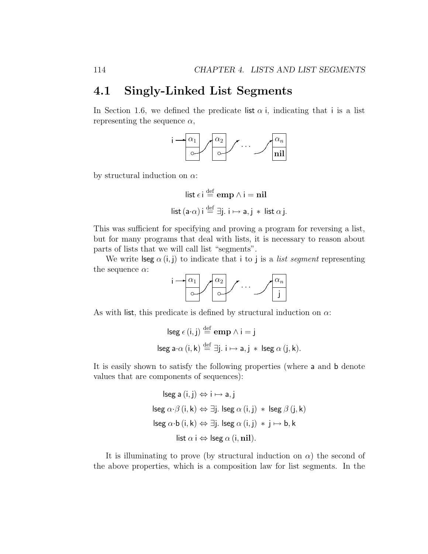### 4.1 Singly-Linked List Segments

In Section 1.6, we defined the predicate list  $\alpha$  i, indicating that i is a list representing the sequence  $\alpha$ ,



by structural induction on  $\alpha$ :

$$
\begin{aligned}\n\text{list } \epsilon \, \text{ i } & \stackrel{\text{def}}{=} \text{emp } \land \text{ i } = \text{nil} \\
\text{list } (\text{a} \cdot \alpha) \, \text{ i } & \stackrel{\text{def}}{=} \exists \text{j. } \text{i } \mapsto \text{a, j } * \text{ list } \alpha \, \text{j.}\n\end{aligned}
$$

This was sufficient for specifying and proving a program for reversing a list, but for many programs that deal with lists, it is necessary to reason about parts of lists that we will call list "segments".

We write  $\textsf{lseg}\ \alpha\ (\textsf{i},\textsf{j})$  to indicate that i to j is a *list segment* representing the sequence  $\alpha$ :

| ٠ | $\alpha_1$ | $\alpha$ |  | $\alpha_n$ |
|---|------------|----------|--|------------|
|   |            |          |  |            |

As with list, this predicate is defined by structural induction on  $\alpha$ :

$$
\begin{aligned}\n\text{lseg } \epsilon \text{ (i, j) } &\stackrel{\text{def}}{=} \textbf{emp} \land \text{i = j} \\
\text{lseg a·\alpha \text{ (i, k) } &\stackrel{\text{def}}{=} \exists \text{j. i \mapsto a, j * \text{ lseg } \alpha \text{ (j, k)}}.\n\end{aligned}
$$

It is easily shown to satisfy the following properties (where a and b denote values that are components of sequences):

$$
lseg a (i, j) \Leftrightarrow i \mapsto a, j
$$
  

$$
lseg \alpha \cdot \beta (i, k) \Leftrightarrow \exists j. lseg \alpha (i, j) * lseg \beta (j, k)
$$
  

$$
lseg \alpha \cdot b (i, k) \Leftrightarrow \exists j. lseg \alpha (i, j) * j \mapsto b, k
$$
  

$$
list \alpha i \Leftrightarrow lseg \alpha (i, nil).
$$

It is illuminating to prove (by structural induction on  $\alpha$ ) the second of the above properties, which is a composition law for list segments. In the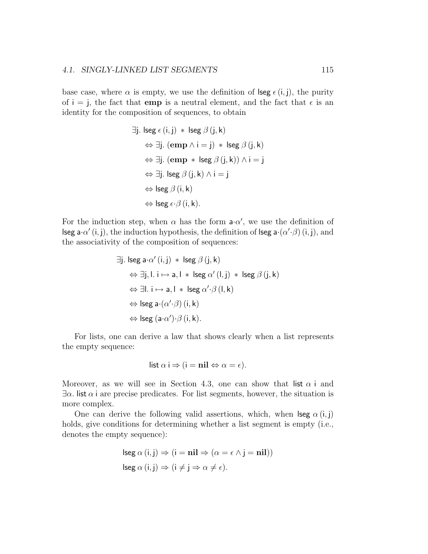#### 4.1. SINGLY-LINKED LIST SEGMENTS 115

base case, where  $\alpha$  is empty, we use the definition of lseg  $\epsilon(i, j)$ , the purity of  $i = j$ , the fact that **emp** is a neutral element, and the fact that  $\epsilon$  is an identity for the composition of sequences, to obtain

$$
\exists j. \text{ } \text{lse } \epsilon (i, j) * \text{ } \text{lse } \beta (j, k)
$$
\n
$$
\Leftrightarrow \exists j. \text{ } (\textbf{emp} \land i = j) * \text{ } \text{lse } \beta (j, k)
$$
\n
$$
\Leftrightarrow \exists j. \text{ } (\textbf{emp} * \text{ } \text{lse } \beta (j, k)) \land i = j
$$
\n
$$
\Leftrightarrow \exists j. \text{ } \text{lse } \beta (j, k) \land i = j
$$
\n
$$
\Leftrightarrow \text{lse } \beta (i, k)
$$
\n
$$
\Leftrightarrow \text{lse } \epsilon \cdot \beta (i, k).
$$

For the induction step, when  $\alpha$  has the form  $a \cdot \alpha'$ , we use the definition of lseg a $\cdot\alpha'$  (i, j), the induction hypothesis, the definition of lseg a $\cdot(\alpha'\cdot\beta)$  (i, j), and the associativity of the composition of sequences:

$$
\exists j. \text{ } \text{lseg a} \cdot \alpha' (i, j) * \text{ } \text{lseg } \beta (j, k)
$$
\n
$$
\Leftrightarrow \exists j, l. \text{ } i \mapsto a, l * \text{ } \text{lseg } \alpha' (l, j) * \text{ } \text{lseg } \beta (j, k)
$$
\n
$$
\Leftrightarrow \exists l. \text{ } i \mapsto a, l * \text{ } \text{lseg } \alpha' \cdot \beta (l, k)
$$
\n
$$
\Leftrightarrow \text{lseg a} \cdot (\alpha' \cdot \beta) (i, k)
$$
\n
$$
\Leftrightarrow \text{lseg (a} \cdot \alpha') \cdot \beta (i, k).
$$

For lists, one can derive a law that shows clearly when a list represents the empty sequence:

list 
$$
\alpha
$$
 i  $\Rightarrow$  (i = nil  $\Leftrightarrow \alpha = \epsilon$ ).

Moreover, as we will see in Section 4.3, one can show that list  $\alpha$  i and  $\exists \alpha$ . list  $\alpha$  i are precise predicates. For list segments, however, the situation is more complex.

One can derive the following valid assertions, which, when  $\deg \alpha(i, j)$ holds, give conditions for determining whether a list segment is empty (i.e., denotes the empty sequence):

$$
lseg \alpha (i,j) \Rightarrow (i = nil \Rightarrow (\alpha = \epsilon \land j = nil))
$$
  

$$
lseg \alpha (i,j) \Rightarrow (i \neq j \Rightarrow \alpha \neq \epsilon).
$$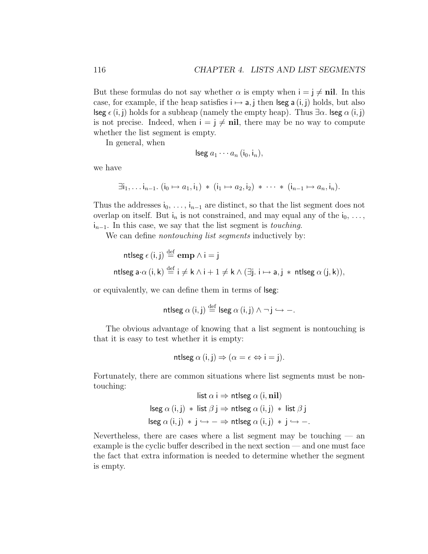But these formulas do not say whether  $\alpha$  is empty when  $i = j \neq \textbf{nil}$ . In this case, for example, if the heap satisfies  $i \mapsto a$ , j then lseg a  $(i, j)$  holds, but also lseg  $\epsilon(i, j)$  holds for a subheap (namely the empty heap). Thus  $\exists \alpha$ . lseg  $\alpha(i, j)$ is not precise. Indeed, when  $i = j \neq \textbf{nil}$ , there may be no way to compute whether the list segment is empty.

In general, when

$$
\mathsf{lseg}\ a_1\cdots a_n\ (\mathsf{i}_0,\mathsf{i}_n),
$$

we have

$$
\exists i_1, \ldots i_{n-1}. (i_0 \mapsto a_1, i_1) * (i_1 \mapsto a_2, i_2) * \cdots * (i_{n-1} \mapsto a_n, i_n).
$$

Thus the addresses  $i_0, \ldots, i_{n-1}$  are distinct, so that the list segment does not overlap on itself. But  $i_n$  is not constrained, and may equal any of the  $i_0, \ldots,$  $i_{n-1}$ . In this case, we say that the list segment is *touching*.

We can define *nontouching list segments* inductively by:

```
ntlseg \epsilon\left(\mathsf{i},\mathsf{j}\right)\overset{\mathrm{def}}{=}\mathbf{emp}\wedge\mathsf{i}=\mathsf{j}ntlseg a\cdot\alpha (\mathsf{i},\mathsf{k})\stackrel{\mathrm{def}}{=} \mathsf{i} \neq \mathsf{k} \land \mathsf{i}+1\neq \mathsf{k} \land (\exists \mathsf{j}.~\mathsf{i} \mapsto \mathsf{a},\mathsf{j}\, *\, \mathsf{n}tlseg \alpha\,(\mathsf{j},\mathsf{k})),
```
or equivalently, we can define them in terms of lseg:

$$
\mathsf{ntlseg}\ \alpha\ (\mathsf{i},\mathsf{j}) \stackrel{\mathrm{def}}{=} \mathsf{lseg}\ \alpha\ (\mathsf{i},\mathsf{j})\ \wedge \neg\ \mathsf{j} \hookrightarrow -.
$$

The obvious advantage of knowing that a list segment is nontouching is that it is easy to test whether it is empty:

$$
\mathsf{ntlseg}\,\alpha\,(\mathsf{i},\mathsf{j}) \Rightarrow (\alpha = \epsilon \Leftrightarrow \mathsf{i} = \mathsf{j}).
$$

Fortunately, there are common situations where list segments must be nontouching: list  $\mathbf{r}$  is a interesting  $\mathbf{r}$  and  $\mathbf{r}$ 

$$
list α i ⇒ \nntlseg α (i, nil)
$$
\n
$$
lseg α (i, j) * list β j ⇒ \nntlseg α (i, j) * list β j
$$
\n
$$
lseg α (i, j) * j → − ⇒ \nntlseg α (i, j) * j → −.
$$

Nevertheless, there are cases where a list segment may be touching  $-$  and example is the cyclic buffer described in the next section — and one must face the fact that extra information is needed to determine whether the segment is empty.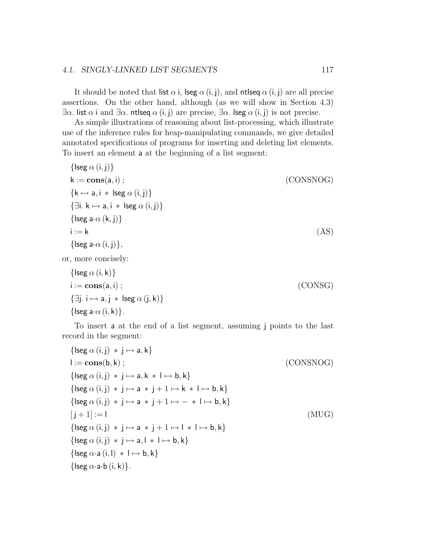#### 4.1. SINGLY-LINKED LIST SEGMENTS 117

It should be noted that list  $\alpha$  i, lseg  $\alpha$  (i, j), and ntlseq  $\alpha$  (i, j) are all precise assertions. On the other hand, although (as we will show in Section 4.3)  $\exists \alpha$ . list  $\alpha$  i and  $\exists \alpha$ . ntlseq  $\alpha$  (i, j) are precise,  $\exists \alpha$ . lseg  $\alpha$  (i, j) is not precise.

As simple illustrations of reasoning about list-processing, which illustrate use of the inference rules for heap-manipulating commands, we give detailed annotated specifications of programs for inserting and deleting list elements. To insert an element a at the beginning of a list segment:

 $\{$ lseg  $\alpha$   $(i, j)$ }  $k := \text{cons}(a, i)$ ; (CONSNOG)  ${k \mapsto a, i * lseg \alpha (i, j)}$  $\{\exists i. \, k \mapsto a, i \, * \, \text{lseg } \alpha (i, j)\}\$ {lseg a $\cdot \alpha$  (k, j)}  $i := k$  (AS) { $\{ \text{leg } a \cdot \alpha (i, j) \},\}$ 

or, more concisely:

$$
\{\text{lseg } \alpha \text{ (i, k)}\}\
$$
\n
$$
i := \text{cons}(a, i) ;
$$
\n
$$
\{\exists j. i \mapsto a, j * \text{ lseg } \alpha \text{ (j, k)}\}\
$$
\n
$$
\{\text{leg} a \cdot \alpha \text{ (i, k)}\}.
$$
\n
$$
(CONSG)
$$

To insert a at the end of a list segment, assuming j points to the last record in the segment:

{lseg α (i, j) ∗ j 7→ a, k} l := cons(b, k) ; (CONSNOG) {lseg α (i, j) ∗ j 7→ a, k ∗ l 7→ b, k} {lseg α (i, j) ∗ j 7→ a ∗ j + 1 7→ k ∗ l 7→ b, k} {lseg α (i, j) ∗ j 7→ a ∗ j + 1 7→ − ∗ l 7→ b, k} [ j + 1] := l (MUG) {lseg α (i, j) ∗ j 7→ a ∗ j + 1 7→ l ∗ l 7→ b, k} {lseg α (i, j) ∗ j 7→ a, l ∗ l 7→ b, k} {lseg α·a (i, l) ∗ l 7→ b, k} {lseg α·a·b (i, k)}.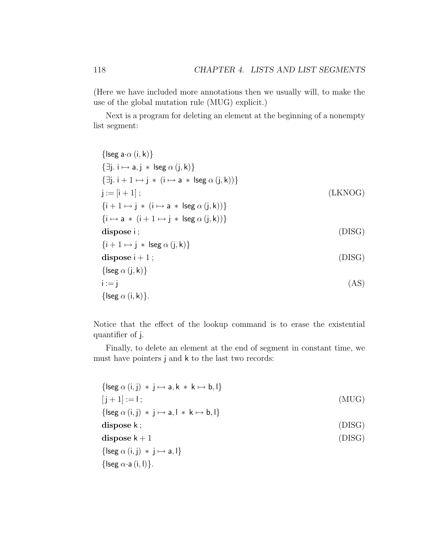(Here we have included more annotations then we usually will, to make the use of the global mutation rule (MUG) explicit.)

Next is a program for deleting an element at the beginning of a nonempty list segment:

$$
{\begin{aligned}\n\{\text{lseg a} \cdot \alpha(i,k)\} \\
\{\exists j. i \mapsto a, j * \text{ lseg } \alpha(j,k)\} \\
\{\exists j. i + 1 \mapsto j * (i \mapsto a * \text{ lseg } \alpha(j,k))\} \\
j := [i + 1]; \\
\{i + 1 \mapsto j * (i \mapsto a * \text{ lseg } \alpha(j,k))\} \\
\{\text{ilipose } i; \\
\{i + 1 \mapsto j * \text{ lseg } \alpha(j,k)\}\n\}\n\text{dispose } i + 1; \\
{\begin{aligned}\n\{\text{lesg } \alpha(j,k)\} \\
i := j\n\end{aligned}\n\end{aligned}\n\tag{DISG}
$$
\n
$$
{\begin{aligned}\n\{\text{lsg } \alpha(j,k)\} \\
i := j\n\end{aligned}\n\tag{AS}
$$

Notice that the effect of the lookup command is to erase the existential quantifier of j.

Finally, to delete an element at the end of segment in constant time, we must have pointers j and k to the last two records:

$$
\begin{aligned}\n\{\text{leg } \alpha(i,j) * j \mapsto a, k * k \mapsto b, l\} \\
[j+1] &:= l; \quad (MUG) \\
\{\text{leg } \alpha(i,j) * j \mapsto a, l * k \mapsto b, l\} \\
\text{dispose } k; \quad (DISG) \\
\text{dispose } k + 1 \\
\{\text{leg } \alpha(i,j) * j \mapsto a, l\} \\
\{\text{leg } \alpha \cdot a(i,l)\}.\n\end{aligned}
$$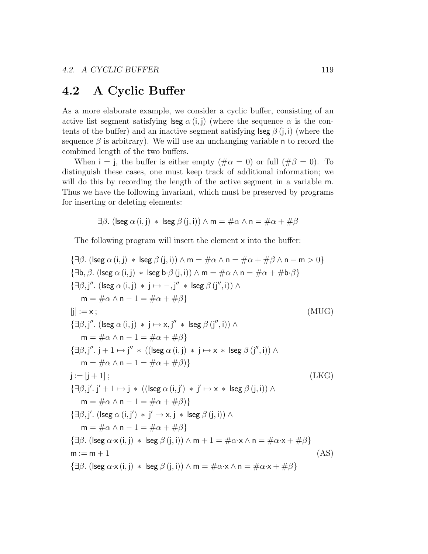## 4.2 A Cyclic Buffer

As a more elaborate example, we consider a cyclic buffer, consisting of an active list segment satisfying lseg  $\alpha(i, j)$  (where the sequence  $\alpha$  is the contents of the buffer) and an inactive segment satisfying lseg  $\beta$  (i, i) (where the sequence  $\beta$  is arbitrary). We will use an unchanging variable n to record the combined length of the two buffers.

When  $i = j$ , the buffer is either empty  $(\# \alpha = 0)$  or full  $(\# \beta = 0)$ . To distinguish these cases, one must keep track of additional information; we will do this by recording the length of the active segment in a variable m. Thus we have the following invariant, which must be preserved by programs for inserting or deleting elements:

$$
\exists \beta. \ (\mathsf{lseg} \ \alpha \ (\mathsf{i}, \mathsf{j}) \ * \ \mathsf{lseg} \ \beta \ (\mathsf{j}, \mathsf{i}) ) \land \mathsf{m} = \# \alpha \land \mathsf{n} = \# \alpha + \# \beta
$$

The following program will insert the element x into the buffer:

$$
\{\exists \beta. \text{ (lseg } \alpha(i,j) * \text{ lseg } \beta(j,i)) \land m = \#\alpha \land n = \#\alpha + \#\beta \land n - m > 0 \}
$$
\n
$$
\{\exists b, \beta. \text{ (lseg } \alpha(i,j) * \text{ lseg } b \cdot \beta(j,i)) \land m = \#\alpha \land n = \#\alpha + \#\alpha + \#\alpha \}
$$
\n
$$
\{\exists \beta, j''. \text{ (lseg } \alpha(i,j) * j \mapsto -, j'' * \text{ lseg } \beta(j'',i)) \land m = \#\alpha \land n - 1 = \#\alpha + \#\beta \}
$$
\n
$$
[j] := x; \qquad (MUG)
$$
\n
$$
\{\exists \beta, j''. \text{ (lseg } \alpha(i,j) * j \mapsto x, j'' * \text{ lseg } \beta(j'',i)) \land m = \#\alpha \land n - 1 = \#\alpha + \#\beta \}
$$
\n
$$
\{\exists \beta, j''. j + 1 \mapsto j'' * ((\text{lseg } \alpha(i,j) * j \mapsto x * \text{ lseg } \beta(j'',i)) \land m = \#\alpha \land n - 1 = \#\alpha + \#\beta \}
$$
\n
$$
j := [j + 1]; \qquad (LKG)
$$
\n
$$
\{\exists \beta, j'. j' + 1 \mapsto j * ((\text{lseg } \alpha(i,j') * j' \mapsto x * \text{ lseg } \beta(j,i)) \land m = \#\alpha \land n - 1 = \#\alpha + \#\beta \}
$$
\n
$$
\{\exists \beta, j'. \text{ (lseg } \alpha(i,j') * j' \mapsto x, j * \text{ lseg } \beta(j,i)) \land m = \#\alpha \land n - 1 = \#\alpha + \#\beta \}
$$
\n
$$
\{\exists \beta. \text{ (lseg } \alpha \times (i,j) * \text{ lseg } \beta(j,i)) \land m + 1 = \#\alpha \land n = \#\alpha \land n + \#\beta \}
$$
\n
$$
m := m + 1 \qquad (AS)
$$
\n
$$
\{\exists \beta. \text{ (lseg } \alpha \times (i,j) * \text{ lseg } \beta(j,i)) \land m = \#\alpha \land n = \#\alpha \land n + \#\beta \}
$$
\n
$$
m := m + 1 \qquad (AS)
$$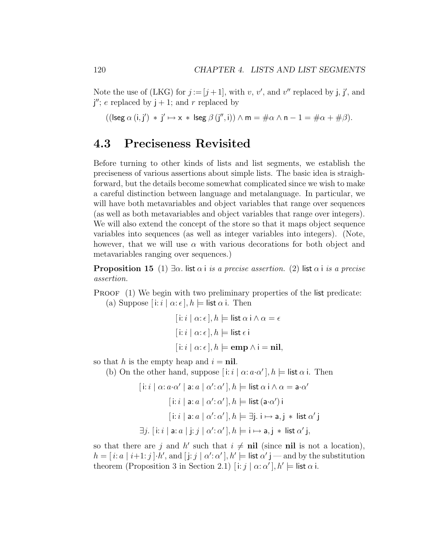Note the use of (LKG) for  $j := [j + 1]$ , with v, v', and v'' replaced by j, j', and  $j''$ ; e replaced by  $j + 1$ ; and r replaced by

 $((\text{lseg }\alpha(i,j') * j' \mapsto x * \text{lseg }\beta(j'',i)) \wedge m = \#\alpha \wedge n - 1 = \#\alpha + \#\beta).$ 

## 4.3 Preciseness Revisited

Before turning to other kinds of lists and list segments, we establish the preciseness of various assertions about simple lists. The basic idea is straighforward, but the details become somewhat complicated since we wish to make a careful distinction between language and metalanguage. In particular, we will have both metavariables and object variables that range over sequences (as well as both metavariables and object variables that range over integers). We will also extend the concept of the store so that it maps object sequence variables into sequences (as well as integer variables into integers). (Note, however, that we will use  $\alpha$  with various decorations for both object and metavariables ranging over sequences.)

**Proposition 15** (1)  $\exists \alpha$ . list  $\alpha$  i is a precise assertion. (2) list  $\alpha$  i is a precise assertion.

PROOF (1) We begin with two preliminary properties of the list predicate: (a) Suppose  $[i:i \mid \alpha:\epsilon], h \models$  list  $\alpha$  i. Then

$$
[i:i \mid \alpha:\epsilon], h \models \text{list } \alpha \text{ i} \land \alpha = \epsilon
$$

$$
[i:i \mid \alpha:\epsilon], h \models \text{list } \epsilon \text{ i}
$$

$$
[i:i \mid \alpha:\epsilon], h \models \text{emp } \land \text{i} = \text{nil},
$$

so that h is the empty heap and  $i = \textbf{nil}$ .

(b) On the other hand, suppose  $[i:i \mid \alpha: a \cdot \alpha'], h \models$  list  $\alpha$  i. Then

$$
[i:i \mid \alpha: a \cdot \alpha' \mid a:a \mid \alpha': \alpha'], h \models \text{list } \alpha \text{ i} \land \alpha = \mathbf{a} \cdot \alpha'
$$

$$
[i:i \mid \mathbf{a}: a \mid \alpha': \alpha'], h \models \text{list } (\mathbf{a} \cdot \alpha') \text{ i}
$$

$$
[i:i \mid \mathbf{a}: a \mid \alpha': \alpha'], h \models \exists j. i \mapsto \mathbf{a}, j * \text{ list } \alpha' \text{ j}
$$

$$
\exists j. [i:i \mid \mathbf{a}: a \mid j:j \mid \alpha': \alpha'], h \models i \mapsto \mathbf{a}, j * \text{ list } \alpha' \text{ j},
$$

so that there are j and h' such that  $i \neq \textbf{nil}$  (since nil is not a location),  $h = [i: a | i+1: j] \cdot h'$ , and  $[j: j | \alpha' : \alpha' ]$ ,  $h' \models$  list  $\alpha' j$  — and by the substitution theorem (Proposition 3 in Section 2.1)  $[i:j | \alpha; \alpha'], h' \models$  list  $\alpha$  i.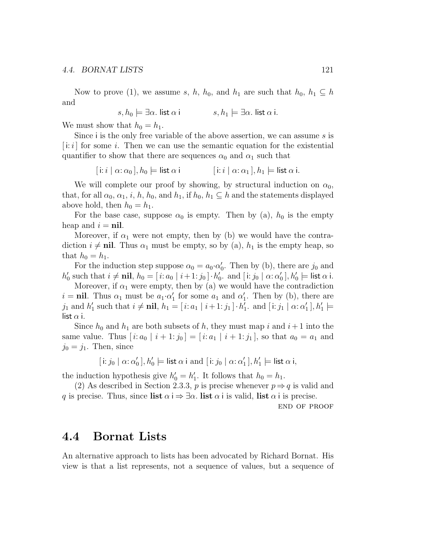Now to prove (1), we assume s, h, h<sub>0</sub>, and h<sub>1</sub> are such that  $h_0$ ,  $h_1 \subseteq h$ and

 $s, h_0 \models \exists \alpha$ . list  $\alpha$  i s,  $h_1 \models \exists \alpha$ . list  $\alpha$  i.

We must show that  $h_0 = h_1$ .

Since i is the only free variable of the above assertion, we can assume s is  $[i:i]$  for some i. Then we can use the semantic equation for the existential quantifier to show that there are sequences  $\alpha_0$  and  $\alpha_1$  such that

$$
[\n\mathbf{i}:i\mid \alpha:\alpha_0], h_0 \models \mathsf{list}\ \alpha\n\mathbf{i} \qquad [\n\mathbf{i}:i\mid \alpha:\alpha_1], h_1 \models \mathsf{list}\ \alpha\n\mathbf{i}.
$$

We will complete our proof by showing, by structural induction on  $\alpha_0$ , that, for all  $\alpha_0, \alpha_1, i, h, h_0$ , and  $h_1$ , if  $h_0, h_1 \subseteq h$  and the statements displayed above hold, then  $h_0 = h_1$ .

For the base case, suppose  $\alpha_0$  is empty. Then by (a),  $h_0$  is the empty heap and  $i = \textbf{nil}$ .

Moreover, if  $\alpha_1$  were not empty, then by (b) we would have the contradiction  $i \neq \textbf{nil}$ . Thus  $\alpha_1$  must be empty, so by (a),  $h_1$  is the empty heap, so that  $h_0 = h_1$ .

For the induction step suppose  $\alpha_0 = a_0 \cdot \alpha'_0$ . Then by (b), there are  $j_0$  and  $h'_0$  such that  $i \neq \textbf{nil}$ ,  $h_0 = [i: a_0 | i+1: j_0] \cdot h'_0$ . and  $[i: j_0 | \alpha: \alpha'_0], h'_0 \models \textbf{list } \alpha \textbf{ i}.$ 

Moreover, if  $\alpha_1$  were empty, then by (a) we would have the contradiction  $i = \textbf{nil}$ . Thus  $\alpha_1$  must be  $a_1 \cdot \alpha'_1$  for some  $a_1$  and  $\alpha'_1$ . Then by (b), there are  $j_1$  and  $h'_1$  such that  $i \neq \textbf{nil}$ ,  $h_1 = [i: a_1 \mid i+1: j_1] \cdot h'_1$ . and  $[i: j_1 \mid \alpha: \alpha'_1]$ ,  $h'_1 \models$ list  $\alpha$  i.

Since  $h_0$  and  $h_1$  are both subsets of h, they must map i and  $i+1$  into the same value. Thus  $[i: a_0 | i+1: j_0] = [i: a_1 | i+1: j_1]$ , so that  $a_0 = a_1$  and  $j_0 = j_1$ . Then, since

$$
[\, \mathsf{i} \colon j_0 \mid \alpha \colon \alpha'_0\,], h'_0 \models \mathsf{list} \; \alpha \; \mathsf{i} \; \mathsf{and} \; [\, \mathsf{i} \colon j_0 \mid \alpha \colon \alpha'_1\,], h'_1 \models \mathsf{list} \; \alpha \; \mathsf{i},
$$

the induction hypothesis give  $h'_0 = h'_1$ . It follows that  $h_0 = h_1$ .

(2) As described in Section 2.3.3, p is precise whenever  $p \Rightarrow q$  is valid and q is precise. Thus, since list  $\alpha \neq \exists \alpha$ . list  $\alpha \neq i$  is valid, list  $\alpha \neq i$  is precise.

end of proof

### 4.4 Bornat Lists

An alternative approach to lists has been advocated by Richard Bornat. His view is that a list represents, not a sequence of values, but a sequence of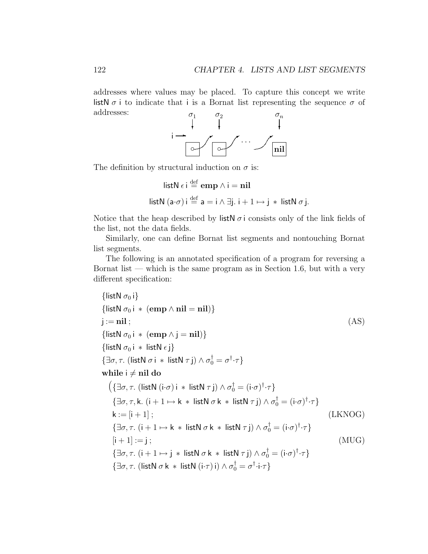addresses where values may be placed. To capture this concept we write listN  $\sigma$  i to indicate that i is a Bornat list representing the sequence  $\sigma$  of addresses:



The definition by structural induction on  $\sigma$  is:

listN 
$$
\epsilon
$$
 i  $\stackrel{\text{def}}{=} \text{emp } \wedge$  i = nil  
listN  $(a \cdot \sigma)$  i  $\stackrel{\text{def}}{=} a = i \wedge \exists j. i + 1 \mapsto j * \text{ listN } \sigma j.$ 

Notice that the heap described by list  $\sigma$  i consists only of the link fields of the list, not the data fields.

Similarly, one can define Bornat list segments and nontouching Bornat list segments.

The following is an annotated specification of a program for reversing a Bornat list — which is the same program as in Section 1.6, but with a very different specification:

{listN 
$$
\sigma_0
$$
 i} {\n {listN  $\sigma_0$  i \* (emp  $\land$  nil = nil} \n } \n {listN  $\sigma_0$  i \* (emp  $\land$  j = nil} \n { (AS) \n {listN  $\sigma_0$  i \* (emp  $\land$  j = nil} \n } \n {distN  $\sigma_0$  i \* listN  $\epsilon$  j} \n { $\exists \sigma, \tau$ . (listN  $\sigma$  i \* listN  $\tau$  j)  $\land \sigma_0^{\dagger} = \sigma^{\dagger} \cdot \tau$  } \n while i  $\neq$  nil do\n  $\left( {\exists \sigma, \tau$ . (listN (i· $\sigma$ ) i \* listN  $\tau$  j)  $\land \sigma_0^{\dagger} = (i·\sigma)^{\dagger} \cdot \tau$  } \n { $\exists \sigma, \tau$ , k. (i + 1  $\mapsto$  k \* listN  $\sigma$  k \* listN  $\tau$  j)  $\land \sigma_0^{\dagger} = (i·\sigma)^{\dagger} \cdot \tau$  } \n k := [i + 1] ; \n { $\exists \sigma, \tau$ . (i + 1  $\mapsto$  k \* listN  $\sigma$  k \* listN  $\tau$  j)  $\land \sigma_0^{\dagger} = (i·\sigma)^{\dagger} \cdot \tau$  } \n {[i + 1] := j ; \n { $\exists \sigma, \tau$ . (i + 1  $\mapsto$  j \* listN  $\sigma$  k \* listN  $\tau$  j)  $\land \sigma_0^{\dagger} = (i·\sigma)^{\dagger} \cdot \tau$  } \n { $\exists \sigma, \tau$ . (listN  $\sigma$  k \* listN (i· $\tau$ ) i)  $\land \sigma_0^{\dagger} = \sigma^{\dagger} \cdot i \cdot \tau$  }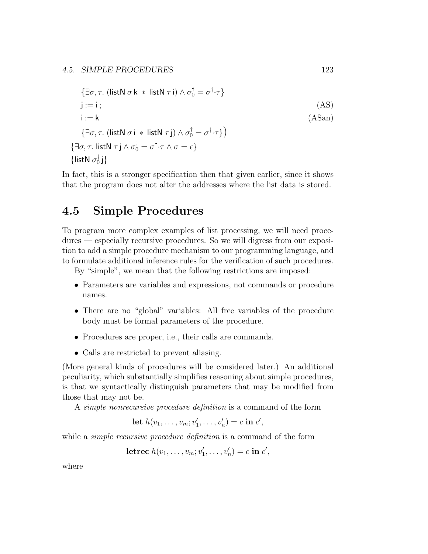$$
\{\exists \sigma, \tau. \ (\mathsf{listN} \ \sigma \ \mathsf{k} \ * \ \mathsf{listN} \ \tau \ \mathsf{i}) \land \sigma_0^{\dagger} = \sigma^{\dagger} \cdot \tau \} \nj := i ; \tag{AS} \n\mathsf{i} := \mathsf{k} \{\exists \sigma, \tau. \ (\mathsf{listN} \ \sigma \ \mathsf{i} \ * \ \mathsf{listN} \ \tau \ \mathsf{j}) \land \sigma_0^{\dagger} = \sigma^{\dagger} \cdot \tau \} \} \n\{\exists \sigma, \tau. \ \mathsf{listN} \ \tau \ \mathsf{j} \land \sigma_0^{\dagger} = \sigma^{\dagger} \cdot \tau \land \sigma = \epsilon \} \{\mathsf{listN} \ \sigma_0^{\dagger} \ \mathsf{j}\}
$$

In fact, this is a stronger specification then that given earlier, since it shows that the program does not alter the addresses where the list data is stored.

## 4.5 Simple Procedures

To program more complex examples of list processing, we will need procedures — especially recursive procedures. So we will digress from our exposition to add a simple procedure mechanism to our programming language, and to formulate additional inference rules for the verification of such procedures.

By "simple", we mean that the following restrictions are imposed:

- Parameters are variables and expressions, not commands or procedure names.
- There are no "global" variables: All free variables of the procedure body must be formal parameters of the procedure.
- Procedures are proper, i.e., their calls are commands.
- Calls are restricted to prevent aliasing.

(More general kinds of procedures will be considered later.) An additional peculiarity, which substantially simplifies reasoning about simple procedures, is that we syntactically distinguish parameters that may be modified from those that may not be.

A simple nonrecursive procedure definition is a command of the form

Let 
$$
h(v_1, ..., v_m; v'_1, ..., v'_n) = c
$$
 in  $c'$ ,

while a *simple recursive procedure definition* is a command of the form

$$
letrec h(v_1, \ldots, v_m; v'_1, \ldots, v'_n) = c in c',
$$

where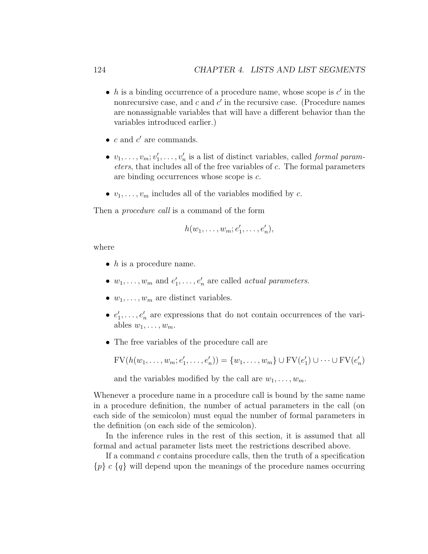- h is a binding occurrence of a procedure name, whose scope is  $c'$  in the nonrecursive case, and  $c$  and  $c'$  in the recursive case. (Procedure names are nonassignable variables that will have a different behavior than the variables introduced earlier.)
- $c$  and  $c'$  are commands.
- $v_1, \ldots, v_m; v'_1, \ldots, v'_n$  is a list of distinct variables, called *formal param*eters, that includes all of the free variables of c. The formal parameters are binding occurrences whose scope is c.
- $v_1, \ldots, v_m$  includes all of the variables modified by c.

Then a *procedure call* is a command of the form

$$
h(w_1,\ldots,w_m;e'_1,\ldots,e'_n),
$$

where

- $\bullet$  h is a procedure name.
- $w_1, \ldots, w_m$  and  $e'_1, \ldots, e'_n$  are called *actual parameters*.
- $w_1, \ldots, w_m$  are distinct variables.
- $e'_1, \ldots, e'_n$  are expressions that do not contain occurrences of the variables  $w_1, \ldots, w_m$ .
- The free variables of the procedure call are

 $\text{FV}(h(w_1, \ldots, w_m; e'_1, \ldots, e'_n)) = \{w_1, \ldots, w_m\} \cup \text{FV}(e'_1) \cup \cdots \cup \text{FV}(e'_n)$ 

and the variables modified by the call are  $w_1, \ldots, w_m$ .

Whenever a procedure name in a procedure call is bound by the same name in a procedure definition, the number of actual parameters in the call (on each side of the semicolon) must equal the number of formal parameters in the definition (on each side of the semicolon).

In the inference rules in the rest of this section, it is assumed that all formal and actual parameter lists meet the restrictions described above.

If a command c contains procedure calls, then the truth of a specification  ${p} c {q}$  will depend upon the meanings of the procedure names occurring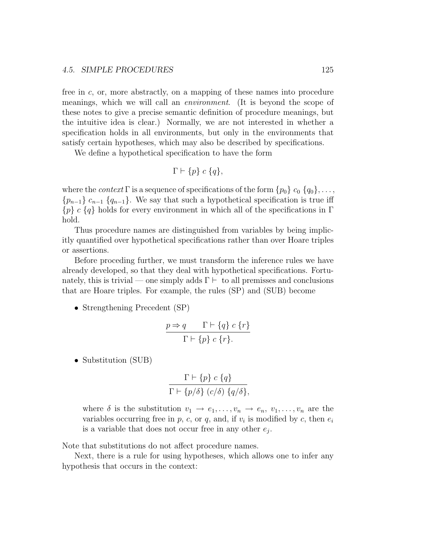free in c, or, more abstractly, on a mapping of these names into procedure meanings, which we will call an environment. (It is beyond the scope of these notes to give a precise semantic definition of procedure meanings, but the intuitive idea is clear.) Normally, we are not interested in whether a specification holds in all environments, but only in the environments that satisfy certain hypotheses, which may also be described by specifications.

We define a hypothetical specification to have the form

$$
\Gamma \vdash \{p\} \ c \ \{q\},
$$

where the *context*  $\Gamma$  is a sequence of specifications of the form  $\{p_0\}$   $c_0$   $\{q_0\}, \ldots$ ,  ${p_{n-1}} c_{n-1} {q_{n-1}}$ . We say that such a hypothetical specification is true iff  ${p} c {q}$  holds for every environment in which all of the specifications in Γ hold.

Thus procedure names are distinguished from variables by being implicitly quantified over hypothetical specifications rather than over Hoare triples or assertions.

Before proceding further, we must transform the inference rules we have already developed, so that they deal with hypothetical specifications. Fortunately, this is trivial — one simply adds  $\Gamma \vdash$  to all premisses and conclusions that are Hoare triples. For example, the rules (SP) and (SUB) become

• Strengthening Precedent (SP)

$$
\frac{p \Rightarrow q \qquad \Gamma \vdash \{q\} \ c \ \{r\}}{\Gamma \vdash \{p\} \ c \ \{r\}.
$$

• Substitution (SUB)

$$
\frac{\Gamma \vdash \{p\} \ c \{q\}}{\Gamma \vdash \{p/\delta\} \ (c/\delta) \ \{q/\delta\}},
$$

where  $\delta$  is the substitution  $v_1 \to e_1, \ldots, v_n \to e_n, v_1, \ldots, v_n$  are the variables occurring free in  $p$ ,  $c$ , or  $q$ , and, if  $v_i$  is modified by  $c$ , then  $e_i$ is a variable that does not occur free in any other  $e_j$ .

Note that substitutions do not affect procedure names.

Next, there is a rule for using hypotheses, which allows one to infer any hypothesis that occurs in the context: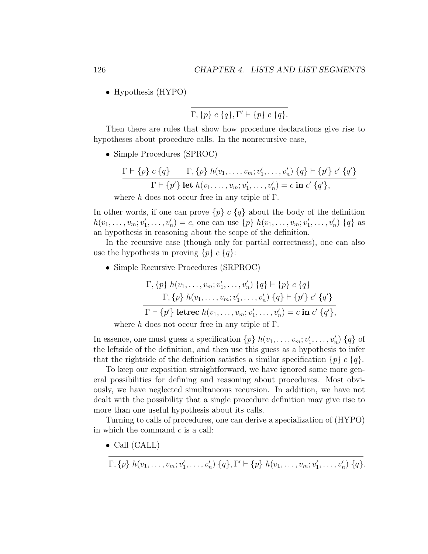• Hypothesis (HYPO)

$$
\Gamma, \{p\} \ c \ \{q\}, \Gamma' \vdash \{p\} \ c \ \{q\}.
$$

Then there are rules that show how procedure declarations give rise to hypotheses about procedure calls. In the nonrecursive case,

• Simple Procedures (SPROC)

$$
\frac{\Gamma \vdash \{p\} \ c \{q\}}{\Gamma \vdash \{p'\} \ \text{let } h(v_1, \ldots, v_m; v'_1, \ldots, v'_n) \ \{q\} \vdash \{p'\} \ c' \ \{q'\}}}{\Gamma \vdash \{p'\} \ \text{let } h(v_1, \ldots, v_m; v'_1, \ldots, v'_n) = c \ \text{in } c' \ \{q'\},}
$$
\nwhere *h* does not occur free in any triple of  $\Gamma$ .

In other words, if one can prove  $\{p\}$  c  $\{q\}$  about the body of the definition

 $h(v_1, \ldots, v_m; v'_1, \ldots, v'_n) = c$ , one can use  $\{p\}$   $h(v_1, \ldots, v_m; v'_1, \ldots, v'_n)$   $\{q\}$  as an hypothesis in reasoning about the scope of the definition.

In the recursive case (though only for partial correctness), one can also use the hypothesis in proving  $\{p\}$  c  $\{q\}$ :

• Simple Recursive Procedures (SRPROC)

$$
\Gamma, \{p\} \ h(v_1, \ldots, v_m; v'_1, \ldots, v'_n) \ \{q\} \vdash \{p\} \ c \ \{q\} \n\Gamma, \{p\} \ h(v_1, \ldots, v_m; v'_1, \ldots, v'_n) \ \{q\} \vdash \{p'\} \ c' \ \{q'\} \n\Gamma \vdash \{p'\} \ \text{letrec} \ h(v_1, \ldots, v_m; v'_1, \ldots, v'_n) = c \ \text{in} \ c' \ \{q'\},
$$

where h does not occur free in any triple of  $\Gamma$ .

In essence, one must guess a specification  $\{p\}$   $h(v_1, \ldots, v_m; v'_1, \ldots, v'_n)$   $\{q\}$  of the leftside of the definition, and then use this guess as a hypothesis to infer that the rightside of the definition satisfies a similar specification  $\{p\} \subset \{q\}.$ 

To keep our exposition straightforward, we have ignored some more general possibilities for defining and reasoning about procedures. Most obviously, we have neglected simultaneous recursion. In addition, we have not dealt with the possibility that a single procedure definition may give rise to more than one useful hypothesis about its calls.

Turning to calls of procedures, one can derive a specialization of (HYPO) in which the command  $c$  is a call:

• Call (CALL)

$$
\Gamma, \{p\} \ h(v_1, \ldots, v_m; v'_1, \ldots, v'_n) \ \{q\}, \Gamma' \vdash \{p\} \ h(v_1, \ldots, v_m; v'_1, \ldots, v'_n) \ \{q\}.
$$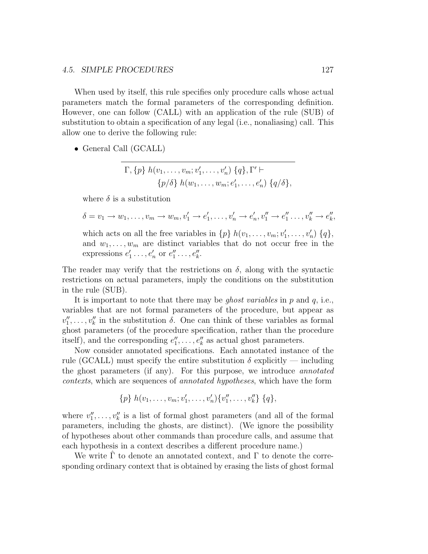When used by itself, this rule specifies only procedure calls whose actual parameters match the formal parameters of the corresponding definition. However, one can follow (CALL) with an application of the rule (SUB) of substitution to obtain a specification of any legal (i.e., nonaliasing) call. This allow one to derive the following rule:

• General Call (GCALL)

$$
\Gamma, \{p\} \ h(v_1, \ldots, v_m; v'_1, \ldots, v'_n) \ \{q\}, \Gamma' \vdash \{p/\delta\} \ h(w_1, \ldots, w_m; e'_1, \ldots, e'_n) \ \{q/\delta\},
$$

where  $\delta$  is a substitution

$$
\delta = v_1 \to w_1, \dots, v_m \to w_m, v'_1 \to e'_1, \dots, v'_n \to e'_n, v''_1 \to e''_1, \dots, v''_k \to e''_k,
$$

which acts on all the free variables in  $\{p\}$   $h(v_1, \ldots, v_m; v'_1, \ldots, v'_n)$   $\{q\},$ and  $w_1, \ldots, w_m$  are distinct variables that do not occur free in the expressions  $e'_1 \dots, e'_n$  or  $e''_1 \dots, e''_k$ .

The reader may verify that the restrictions on  $\delta$ , along with the syntactic restrictions on actual parameters, imply the conditions on the substitution in the rule (SUB).

It is important to note that there may be *ghost variables* in  $p$  and  $q$ , i.e., variables that are not formal parameters of the procedure, but appear as  $v''_1, \ldots, v''_k$  in the substitution  $\delta$ . One can think of these variables as formal ghost parameters (of the procedure specification, rather than the procedure itself), and the corresponding  $e''_1, \ldots, e''_k$  as actual ghost parameters.

Now consider annotated specifications. Each annotated instance of the rule (GCALL) must specify the entire substitution  $\delta$  explicitly — including the ghost parameters (if any). For this purpose, we introduce annotated contexts, which are sequences of annotated hypotheses, which have the form

$$
\{p\} \; h(v_1,\ldots,v_m;v'_1,\ldots,v'_n)\{v''_1,\ldots,v''_k\} \; \{q\},\;
$$

where  $v''_1, \ldots, v''_k$  is a list of formal ghost parameters (and all of the formal parameters, including the ghosts, are distinct). (We ignore the possibility of hypotheses about other commands than procedure calls, and assume that each hypothesis in a context describes a different procedure name.)

We write  $\Gamma$  to denote an annotated context, and  $\Gamma$  to denote the corresponding ordinary context that is obtained by erasing the lists of ghost formal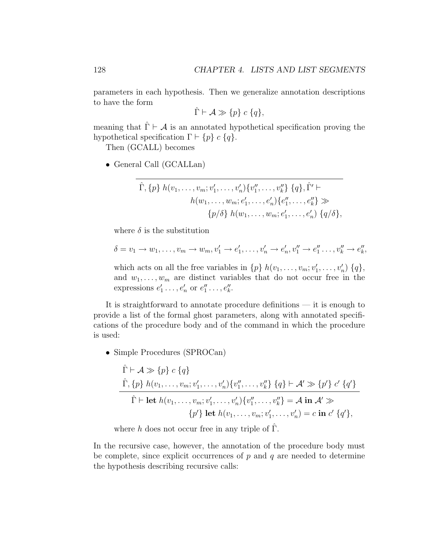parameters in each hypothesis. Then we generalize annotation descriptions to have the form

$$
\hat{\Gamma} \vdash \mathcal{A} \gg \{p\} \ c \ \{q\},
$$

meaning that  $\hat{\Gamma} \vdash A$  is an annotated hypothetical specification proving the hypothetical specification  $\Gamma \vdash \{p\} \ c \ \{q\}.$ 

Then (GCALL) becomes

• General Call (GCALLan)

$$
\hat{\Gamma}, \{p\} \ h(v_1, \ldots, v_m; v'_1, \ldots, v'_n) \{v''_1, \ldots, v''_k\} \ \{q\}, \hat{\Gamma}' \vdash \nh(w_1, \ldots, w_m; e'_1, \ldots, e'_n) \{e''_1, \ldots, e''_k\} \gg \n\{p/\delta\} \ h(w_1, \ldots, w_m; e'_1, \ldots, e'_n) \ \{q/\delta\},
$$

where  $\delta$  is the substitution

$$
\delta = v_1 \to w_1, \dots, v_m \to w_m, v'_1 \to e'_1, \dots, v'_n \to e'_n, v''_1 \to e''_1 \dots, v''_k \to e''_k,
$$

which acts on all the free variables in  $\{p\}$   $h(v_1, \ldots, v_m; v'_1, \ldots, v'_n)$   $\{q\},$ and  $w_1, \ldots, w_m$  are distinct variables that do not occur free in the expressions  $e'_1 \dots, e'_n$  or  $e''_1 \dots, e''_k$ .

It is straightforward to annotate procedure definitions — it is enough to provide a list of the formal ghost parameters, along with annotated specifications of the procedure body and of the command in which the procedure is used:

• Simple Procedures (SPROCan)

$$
\hat{\Gamma} \vdash A \gg \{p\} \ c \{q\}
$$
\n
$$
\frac{\hat{\Gamma}, \{p\} \ h(v_1, \ldots, v_m; v'_1, \ldots, v'_n) \{v''_1, \ldots, v''_k\} \ \{q\} \vdash A' \gg \{p'\} \ c' \ \{q'\}}{\hat{\Gamma} \vdash \text{let } h(v_1, \ldots, v_m; v'_1, \ldots, v'_n) \{v''_1, \ldots, v''_k\}} = A \text{ in } A' \gg
$$
\n
$$
\{p'\} \text{ let } h(v_1, \ldots, v_m; v'_1, \ldots, v'_m) = c \text{ in } c' \ \{q'\},
$$

where h does not occur free in any triple of  $\Gamma$ .

In the recursive case, however, the annotation of the procedure body must be complete, since explicit occurrences of  $p$  and  $q$  are needed to determine the hypothesis describing recursive calls: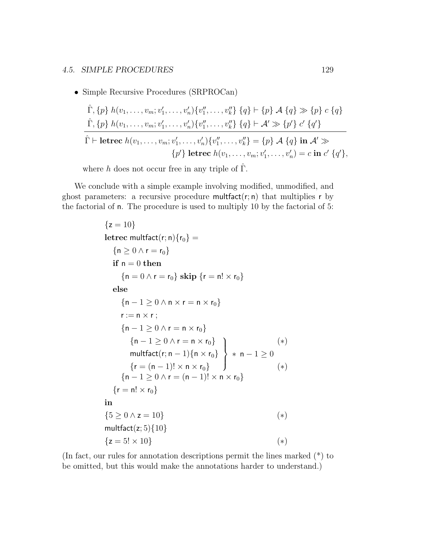• Simple Recursive Procedures (SRPROCan)

$$
\hat{\Gamma}, \{p\} \ h(v_1, \ldots, v_m; v'_1, \ldots, v'_n) \{v''_1, \ldots, v''_k\} \ \{q\} \vdash \{p\} \ A \ \{q\} \gg \{p\} \ c \ \{q\}
$$
\n
$$
\hat{\Gamma}, \{p\} \ h(v_1, \ldots, v_m; v'_1, \ldots, v'_n) \{v''_1, \ldots, v''_k\} \ \{q\} \vdash A' \gg \{p'\} \ c' \ \{q'\}
$$
\n
$$
\hat{\Gamma} \vdash \textbf{letrec } h(v_1, \ldots, v_m; v'_1, \ldots, v'_n) \{v''_1, \ldots, v''_k\} = \{p\} \ A \ \{q\} \ \textbf{in } A' \gg
$$
\n
$$
\{p'\} \ \textbf{letrec } h(v_1, \ldots, v_m; v'_1, \ldots, v'_m) = c \ \textbf{in } c' \ \{q'\},
$$

where h does not occur free in any triple of  $\hat{\Gamma}$ .

We conclude with a simple example involving modified, unmodified, and ghost parameters: a recursive procedure multfact $(r; n)$  that multiplies r by the factorial of n. The procedure is used to multiply 10 by the factorial of 5:

```
{z = 10}letrec multfact(r; n){r_0} ={n > 0 \wedge r = r_0}if n = 0 then
      {n = 0 \land r = r_0} skip {r = n! \times r_0}else
      {n-1 \geq 0 \land n \times r = n \times r_0}r := n \times r;
     {n-1 \geq 0 \wedge r = n \times r_0}{n-1 \geq 0 \wedge r = n \times r_0}\mathsf{multfact}(\mathsf{r};\mathsf{n}-1)\{\mathsf{n}\times\mathsf{r}_0\}{r = (n - 1)! \times n \times r_0}\mathcal{L}\overline{\mathcal{L}}\int* n – 1 \geq 0(∗)
                                                               (∗)
     {n - 1 \ge 0 \land r = (n - 1)! \times n \times r_0}{r = n! \times r_0}in
{5 \geq 0 \land z = 10} (*)
multfact(z; 5){10}
{z = 5! \times 10} (*)
```
(In fact, our rules for annotation descriptions permit the lines marked (\*) to be omitted, but this would make the annotations harder to understand.)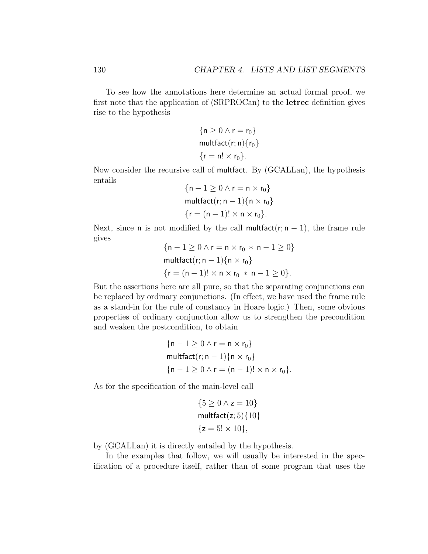To see how the annotations here determine an actual formal proof, we first note that the application of (SRPROCan) to the letrec definition gives rise to the hypothesis

$$
\{n \ge 0 \land r = r_0\}
$$
  
multfact(r; n) {r<sub>0</sub>}  
{r = n! × r<sub>0</sub>}.

Now consider the recursive call of multfact. By (GCALLan), the hypothesis entails

$$
\{n-1 \ge 0 \land r = n \times r_0\}
$$
  
multfact(r; n - 1) $\{n \times r_0\}$   
 $\{r = (n - 1)! \times n \times r_0\}.$ 

Next, since n is not modified by the call multfact( $r; n - 1$ ), the frame rule gives

{
$$
n-1 \ge 0 \land r = n \times r_0 * n - 1 \ge 0
$$
}  
multfact( $r; n - 1$ ){ $n \times r_0$ }  
{ $r = (n - 1)! \times n \times r_0 * n - 1 \ge 0$  }.

But the assertions here are all pure, so that the separating conjunctions can be replaced by ordinary conjunctions. (In effect, we have used the frame rule as a stand-in for the rule of constancy in Hoare logic.) Then, some obvious properties of ordinary conjunction allow us to strengthen the precondition and weaken the postcondition, to obtain

$$
\begin{aligned} &\{n-1\geq 0 \wedge r=n\times r_0\} \\ &\text{multfact}(r; n-1) \{n\times r_0\} \\ &\{n-1\geq 0 \wedge r=(n-1)! \times n\times r_0\}. \end{aligned}
$$

As for the specification of the main-level call

$$
\{5 \ge 0 \land z = 10\}
$$
  
multfact(z; 5){10}  

$$
\{z = 5! \times 10\},
$$

by (GCALLan) it is directly entailed by the hypothesis.

In the examples that follow, we will usually be interested in the specification of a procedure itself, rather than of some program that uses the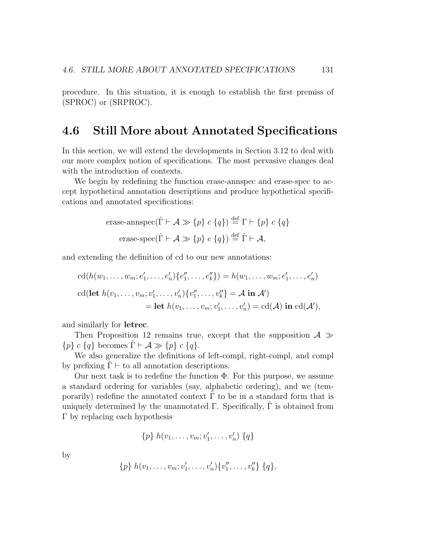procedure. In this situation, it is enough to establish the first premiss of (SPROC) or (SRPROC).

### 4.6 Still More about Annotated Specifications

In this section, we will extend the developments in Section 3.12 to deal with our more complex notion of specifications. The most pervasive changes deal with the introduction of contexts.

We begin by redefining the function erase-annspec and erase-spec to accept hypothetical annotation descriptions and produce hypothetical specifications and annotated specifications:

$$
\begin{aligned}\n\text{erase-annspec}(\hat{\Gamma} \vdash \mathcal{A} \gg \{p\} \ c \ \{q\}) &\stackrel{\text{def}}{=} \Gamma \vdash \{p\} \ c \ \{q\} \\
\text{erase-space}(\hat{\Gamma} \vdash \mathcal{A} \gg \{p\} \ c \ \{q\}) &\stackrel{\text{def}}{=} \hat{\Gamma} \vdash \mathcal{A},\n\end{aligned}
$$

and extending the definition of cd to our new annotations:

$$
cd(h(w_1, ..., w_m; e'_1, ..., e'_n)\{e''_1, ..., e''_k\}) = h(w_1, ..., w_m; e'_1, ..., e'_n)
$$
  

$$
cd(\text{let } h(v_1, ..., v_m; v'_1, ..., v'_n)\{v''_1, ..., v''_k\} = A \text{ in } \mathcal{A}')
$$
  
= let  $h(v_1, ..., v_m; v'_1, ..., v'_n) = cd(\mathcal{A}) \text{ in } cd(\mathcal{A}')$ ,

and similarly for letrec.

Then Proposition 12 remains true, except that the supposition  $A \gg$  ${p} c {q} \text{ becomes } \hat{\Gamma} \vdash A \gg {p} c {q}.$ 

We also generalize the definitions of left-compl, right-compl, and compl by prefixing  $\Gamma \vdash$  to all annotation descriptions.

Our next task is to redefine the function  $\Phi$ . For this purpose, we assume a standard ordering for variables (say, alphabetic ordering), and we (temporarily) redefine the annotated context  $\hat{\Gamma}$  to be in a standard form that is uniquely determined by the unannotated  $\Gamma$ . Specifically,  $\Gamma$  is obtained from Γ by replacing each hypothesis

$$
\{p\} \; h(v_1, \ldots, v_m; v'_1, \ldots, v'_n) \; \{q\}
$$

by

$$
\{p\} \; h(v_1,\ldots,v_m;v'_1,\ldots,v'_n)\{v''_1,\ldots,v''_k\} \; \{q\},\;
$$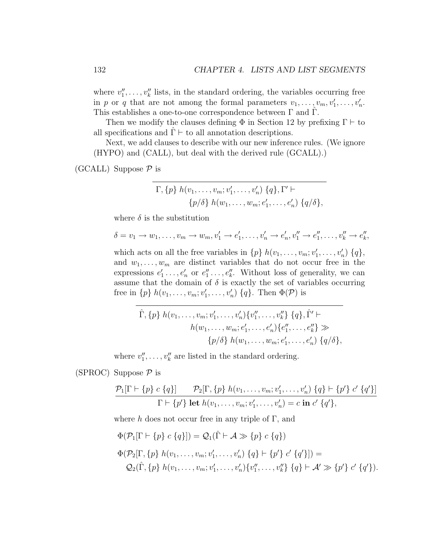where  $v''_1, \ldots, v''_k$  lists, in the standard ordering, the variables occurring free in p or q that are not among the formal parameters  $v_1, \ldots, v_m, v'_1, \ldots, v'_n$ . This establishes a one-to-one correspondence between  $\Gamma$  and  $\Gamma$ .

Then we modify the clauses defining  $\Phi$  in Section 12 by prefixing  $\Gamma \vdash$  to all specifications and  $\Gamma \vdash$  to all annotation descriptions.

Next, we add clauses to describe with our new inference rules. (We ignore (HYPO) and (CALL), but deal with the derived rule (GCALL).)

(GCALL) Suppose  $P$  is

$$
\Gamma, \{p\} \ h(v_1, \ldots, v_m; v'_1, \ldots, v'_n) \ \{q\}, \Gamma' \vdash \{p/\delta\} \ h(w_1, \ldots, w_m; e'_1, \ldots, e'_n) \ \{q/\delta\},
$$

where  $\delta$  is the substitution

$$
\delta = v_1 \to w_1, \dots, v_m \to w_m, v'_1 \to e'_1, \dots, v'_n \to e'_n, v''_1 \to e''_1, \dots, v''_k \to e''_k,
$$

which acts on all the free variables in  $\{p\}$   $h(v_1, \ldots, v_m; v'_1, \ldots, v'_n)$   $\{q\},$ and  $w_1, \ldots, w_m$  are distinct variables that do not occur free in the expressions  $e'_1 \ldots, e'_n$  or  $e''_1 \ldots, e''_k$ . Without loss of generality, we can assume that the domain of  $\delta$  is exactly the set of variables occurring free in  $\{p\}$   $h(v_1, \ldots, v_m; v'_1, \ldots, v'_n)$   $\{q\}$ . Then  $\Phi(\mathcal{P})$  is

$$
\hat{\Gamma}, \{p\} \ h(v_1, \ldots, v_m; v'_1, \ldots, v'_n) \{v''_1, \ldots, v''_k\} \ \{q\}, \hat{\Gamma}' \vdash \nh(w_1, \ldots, w_m; e'_1, \ldots, e'_n) \{e''_1, \ldots, e''_k\} \gg \n\{p/\delta\} \ h(w_1, \ldots, w_m; e'_1, \ldots, e'_n) \ \{q/\delta\},
$$

where  $v''_1, \ldots, v''_k$  are listed in the standard ordering.

(SPROC) Suppose  $P$  is

$$
\frac{\mathcal{P}_1[\Gamma \vdash \{p\} \ c \{q\}]}{\Gamma \vdash \{p'\} \ \text{let } h(v_1, \ldots, v_m; v'_1, \ldots, v'_n) \ \{q\} \vdash \{p'\} \ c' \{q'\}]}{\Gamma \vdash \{p'\} \ \text{let } h(v_1, \ldots, v_m; v'_1, \ldots, v'_n) = c \ \text{in } c' \{q'\},\
$$

where h does not occur free in any triple of  $\Gamma$ , and

$$
\Phi(\mathcal{P}_1[\Gamma \vdash \{p\} \ c \ \{q\}]) = \mathcal{Q}_1(\hat{\Gamma} \vdash \mathcal{A} \gg \{p\} \ c \ \{q\})
$$
  

$$
\Phi(\mathcal{P}_2[\Gamma, \{p\} \ h(v_1, \ldots, v_m; v'_1, \ldots, v'_n) \ \{q\} \vdash \{p'\} \ c' \ \{q'\}]) =
$$
  

$$
\mathcal{Q}_2(\hat{\Gamma}, \{p\} \ h(v_1, \ldots, v_m; v'_1, \ldots, v'_n) \{v''_1, \ldots, v''_k\} \ \{q\} \vdash \mathcal{A}' \gg \{p'\} \ c' \ \{q'\}).
$$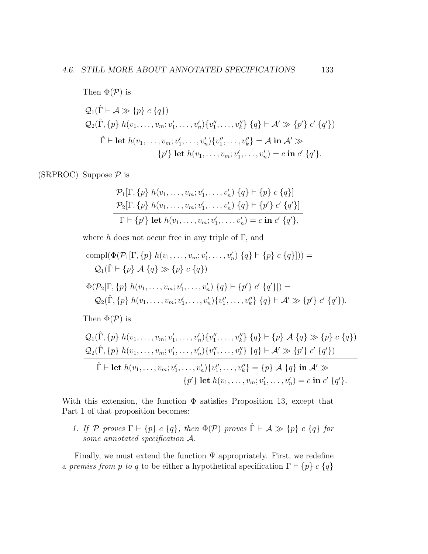Then 
$$
\Phi(\mathcal{P})
$$
 is  
\n
$$
Q_1(\hat{\Gamma} \vdash A \gg \{p\} \ c \{q\})
$$
\n
$$
Q_2(\hat{\Gamma}, \{p\} \ h(v_1, \ldots, v_m; v_1', \ldots, v_n') \{v_1'', \ldots, v_k''\} \ \{q\} \vdash A' \gg \{p'\} \ c' \ \{q'\})
$$
\n
$$
\hat{\Gamma} \vdash \text{let } h(v_1, \ldots, v_m; v_1', \ldots, v_n') \{v_1'', \ldots, v_k''\} = A \text{ in } A' \gg
$$
\n
$$
\{p'\} \text{ let } h(v_1, \ldots, v_m; v_1', \ldots, v_n') = c \text{ in } c' \ \{q'\}.
$$

(SRPROC) Suppose  $P$  is

$$
\mathcal{P}_1[\Gamma, \{p\} \ h(v_1, \ldots, v_m; v'_1, \ldots, v'_n) \ \{q\} \vdash \{p\} \ c \ \{q\}]
$$
  

$$
\mathcal{P}_2[\Gamma, \{p\} \ h(v_1, \ldots, v_m; v'_1, \ldots, v'_n) \ \{q\} \vdash \{p'\} \ c' \ \{q'\}]
$$
  

$$
\Gamma \vdash \{p'\} \ \text{let} \ h(v_1, \ldots, v_m; v'_1, \ldots, v'_n) = c \ \text{in} \ c' \ \{q'\},
$$

where h does not occur free in any triple of  $\Gamma$ , and

compl(
$$
\Phi(\mathcal{P}_1[\Gamma, \{p\} \ h(v_1, \ldots, v_m; v'_1, \ldots, v'_n) \ \{q\} \vdash \{p\} \ c \ \{q\}])) =
$$
  
\n $Q_1(\hat{\Gamma} \vdash \{p\} \ A \ \{q\} \gg \{p\} \ c \ \{q\})$   
\n $\Phi(\mathcal{P}_2[\Gamma, \{p\} \ h(v_1, \ldots, v_m; v'_1, \ldots, v'_n) \ \{q\} \vdash \{p'\} \ c' \ \{q'\}]) =$   
\n $Q_2(\hat{\Gamma}, \{p\} \ h(v_1, \ldots, v_m; v'_1, \ldots, v'_n) \{v''_1, \ldots, v''_k\} \ \{q\} \vdash \mathcal{A}' \gg \{p'\} \ c' \ \{q'\}).$ 

Then  $\Phi(\mathcal{P})$  is

$$
Q_{1}(\hat{\Gamma}, \{p\} \; h(v_{1}, \ldots, v_{m}; v'_{1}, \ldots, v'_{n}) \{v''_{1}, \ldots, v''_{k}\} \; \{q\} \vdash \{p\} \; \mathcal{A} \; \{q\} \gg \{p\} \; c \; \{q\})
$$
\n
$$
Q_{2}(\hat{\Gamma}, \{p\} \; h(v_{1}, \ldots, v_{m}; v'_{1}, \ldots, v'_{n}) \{v''_{1}, \ldots, v''_{k}\} \; \{q\} \vdash \mathcal{A}' \gg \{p'\} \; c' \; \{q'\})
$$
\n
$$
\hat{\Gamma} \vdash \text{let } h(v_{1}, \ldots, v_{m}; v'_{1}, \ldots, v'_{n}) \{v''_{1}, \ldots, v''_{k}\} = \{p\} \; \mathcal{A} \; \{q\} \; \text{in } \mathcal{A}' \gg
$$
\n
$$
\{p'\} \; \text{let } h(v_{1}, \ldots, v_{m}; v'_{1}, \ldots, v'_{n}) = c \; \text{in } c' \; \{q'\}.
$$

With this extension, the function  $\Phi$  satisfies Proposition 13, except that Part 1 of that proposition becomes:

1. If P proves  $\Gamma \vdash \{p\} \ c \ \{q\}$ , then  $\Phi(\mathcal{P})$  proves  $\hat{\Gamma} \vdash \mathcal{A} \gg \{p\} \ c \ \{q\}$  for some annotated specification A.

Finally, we must extend the function  $\Psi$  appropriately. First, we redefine a premiss from p to q to be either a hypothetical specification  $\Gamma \vdash \{p\} \ c \ \{q\}$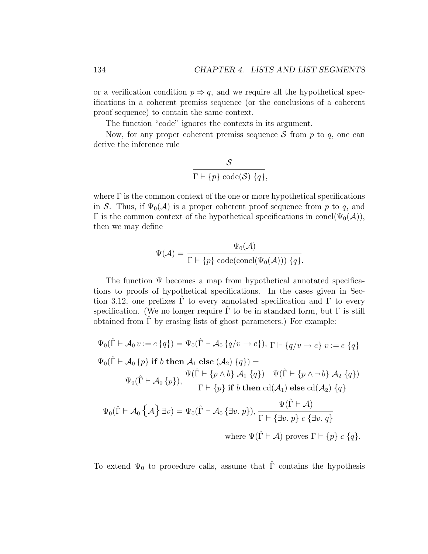or a verification condition  $p \Rightarrow q$ , and we require all the hypothetical specifications in a coherent premiss sequence (or the conclusions of a coherent proof sequence) to contain the same context.

The function "code" ignores the contexts in its argument.

Now, for any proper coherent premiss sequence  $S$  from  $p$  to  $q$ , one can derive the inference rule

$$
\frac{\mathcal{S}}{\Gamma \vdash \{p\} \text{ code}(\mathcal{S}) \{q\}},
$$

where  $\Gamma$  is the common context of the one or more hypothetical specifications in S. Thus, if  $\Psi_0(\mathcal{A})$  is a proper coherent proof sequence from p to q, and Γ is the common context of the hypothetical specifications in concl( $Ψ_0(A)$ ), then we may define

$$
\Psi(\mathcal{A}) = \frac{\Psi_0(\mathcal{A})}{\Gamma \vdash \{p\} \text{ code}(\text{concl}(\Psi_0(\mathcal{A}))) \{q\}}.
$$

The function Ψ becomes a map from hypothetical annotated specifications to proofs of hypothetical specifications. In the cases given in Section 3.12, one prefixes  $\hat{\Gamma}$  to every annotated specification and  $\Gamma$  to every specification. (We no longer require  $\Gamma$  to be in standard form, but  $\Gamma$  is still obtained from  $\Gamma$  by erasing lists of ghost parameters.) For example:

$$
\Psi_0(\hat{\Gamma} \vdash \mathcal{A}_0 v := e \{q\}) = \Psi_0(\hat{\Gamma} \vdash \mathcal{A}_0 \{q/v \to e\}), \overline{\Gamma \vdash \{q/v \to e\} v := e \{q\}} \n\Psi_0(\hat{\Gamma} \vdash \mathcal{A}_0 \{p\} \text{ if } b \text{ then } \mathcal{A}_1 \text{ else } (\mathcal{A}_2) \{q\}) = \n\Psi_0(\hat{\Gamma} \vdash \mathcal{A}_0 \{p\}), \frac{\Psi(\hat{\Gamma} \vdash \{p \land b\} \mathcal{A}_1 \{q\}) \quad \Psi(\hat{\Gamma} \vdash \{p \land \neg b\} \mathcal{A}_2 \{q\})}{\Gamma \vdash \{p\} \text{ if } b \text{ then } \text{cd}(\mathcal{A}_1) \text{ else } \text{cd}(\mathcal{A}_2) \{q\}} \n\Psi_0(\hat{\Gamma} \vdash \mathcal{A}_0 \{\mathcal{A}\} \exists v) = \Psi_0(\hat{\Gamma} \vdash \mathcal{A}_0 \{\exists v. p\}), \frac{\Psi(\hat{\Gamma} \vdash \mathcal{A})}{\Gamma \vdash \{\exists v. p\} \ c \{\exists v. q\}} \n\text{where } \Psi(\hat{\Gamma} \vdash \mathcal{A}) \text{ proves } \Gamma \vdash \{p\} \ c \{q\}.
$$

To extend  $\Psi_0$  to procedure calls, assume that  $\hat{\Gamma}$  contains the hypothesis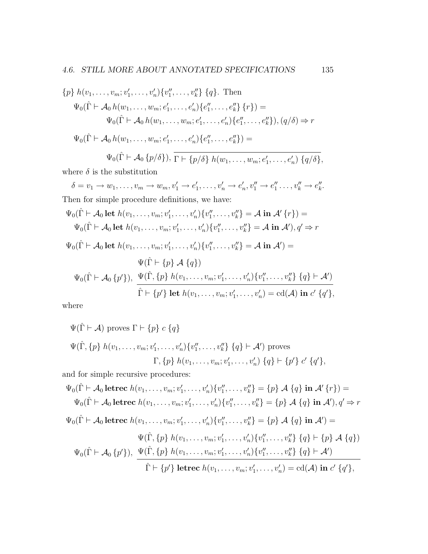$$
\{p\} \ h(v_1, \ldots, v_m; v'_1, \ldots, v'_n) \{v''_1, \ldots, v''_k\} \ \{q\}. \ \text{Then}
$$
\n
$$
\Psi_0(\hat{\Gamma} \vdash \mathcal{A}_0 \ h(w_1, \ldots, w_m; e'_1, \ldots, e'_n) \{e''_1, \ldots, e''_k\} \ \{r\}) =
$$
\n
$$
\Psi_0(\hat{\Gamma} \vdash \mathcal{A}_0 \ h(w_1, \ldots, w_m; e'_1, \ldots, e'_n) \{e''_1, \ldots, e''_k\}), (q/\delta) \Rightarrow r
$$
\n
$$
\Psi_0(\hat{\Gamma} \vdash \mathcal{A}_0 \ h(w_1, \ldots, w_m; e'_1, \ldots, e'_n) \{e''_1, \ldots, e''_k\}) =
$$
\n
$$
\Psi_0(\hat{\Gamma} \vdash \mathcal{A}_0 \ \{p/\delta\}), \ \overline{\Gamma \vdash \{p/\delta\} \ h(w_1, \ldots, w_m; e'_1, \ldots, e'_n) \ \{q/\delta\}},
$$

where  $\delta$  is the substitution

 $\delta = v_1 \to w_1, \dots, v_m \to w_m, v'_1 \to e'_1, \dots, v'_n \to e'_n, v''_1 \to e''_1, \dots, v''_k \to e''_k.$ Then for simple procedure definitions, we have:

$$
\Psi_0(\hat{\Gamma} \vdash \mathcal{A}_0 \text{ let } h(v_1, \ldots, v_m; v_1', \ldots, v_n') \{v_1'', \ldots, v_k''\} = \mathcal{A} \text{ in } \mathcal{A}' \{r\}) =
$$
\n
$$
\Psi_0(\hat{\Gamma} \vdash \mathcal{A}_0 \text{ let } h(v_1, \ldots, v_m; v_1', \ldots, v_n') \{v_1'', \ldots, v_k''\} = \mathcal{A} \text{ in } \mathcal{A}', q' \Rightarrow r
$$
\n
$$
\Psi_0(\hat{\Gamma} \vdash \mathcal{A}_0 \text{ let } h(v_1, \ldots, v_m; v_1', \ldots, v_n') \{v_1'', \ldots, v_k''\} = \mathcal{A} \text{ in } \mathcal{A}') =
$$
\n
$$
\Psi(\hat{\Gamma} \vdash \{p\} \mathcal{A} \{q\})
$$
\n
$$
\Psi_0(\hat{\Gamma} \vdash \mathcal{A}_0 \{p'\}), \ \frac{\Psi(\hat{\Gamma}, \{p\} \, h(v_1, \ldots, v_m; v_1', \ldots, v_n') \{v_1'', \ldots, v_k''\} \{q\} \vdash \mathcal{A}'}{\hat{\Gamma} \vdash \{p'\} \text{ let } h(v_1, \ldots, v_m; v_1', \ldots, v_n') = \text{cd}(\mathcal{A}) \text{ in } c' \{q'\},
$$

where

$$
\Psi(\hat{\Gamma} \vdash \mathcal{A}) \text{ proves } \Gamma \vdash \{p\} \ c \ \{q\}
$$
\n
$$
\Psi(\hat{\Gamma}, \{p\} \ h(v_1, \ldots, v_m; v'_1, \ldots, v'_n) \{v''_1, \ldots, v''_k\} \ \{q\} \vdash \mathcal{A}') \text{ proves}
$$
\n
$$
\Gamma, \{p\} \ h(v_1, \ldots, v_m; v'_1, \ldots, v'_n) \ \{q\} \vdash \{p'\} \ c' \ \{q'\},
$$

and for simple recursive procedures:

$$
\Psi_{0}(\hat{\Gamma} \vdash \mathcal{A}_{0} \text{letrec } h(v_{1}, \ldots, v_{m}; v'_{1}, \ldots, v'_{n}) \{v''_{1}, \ldots, v''_{k}\} = \{p\} \mathcal{A} \{q\} \text{ in } \mathcal{A}' \{r\}) =
$$
\n
$$
\Psi_{0}(\hat{\Gamma} \vdash \mathcal{A}_{0} \text{letrec } h(v_{1}, \ldots, v_{m}; v'_{1}, \ldots, v'_{n}) \{v''_{1}, \ldots, v''_{k}\} = \{p\} \mathcal{A} \{q\} \text{ in } \mathcal{A}', r \} \Rightarrow r
$$
\n
$$
\Psi_{0}(\hat{\Gamma} \vdash \mathcal{A}_{0} \text{letrec } h(v_{1}, \ldots, v_{m}; v'_{1}, \ldots, v'_{n}) \{v''_{1}, \ldots, v''_{k}\} = \{p\} \mathcal{A} \{q\} \text{ in } \mathcal{A}' =
$$
\n
$$
\Psi(\hat{\Gamma}, \{p\} \ h(v_{1}, \ldots, v_{m}; v'_{1}, \ldots, v'_{n}) \{v''_{1}, \ldots, v''_{k}\} \{q\} \vdash \{p\} \mathcal{A} \{q\})
$$
\n
$$
\Psi_{0}(\hat{\Gamma} \vdash \mathcal{A}_{0} \{p'\}), \ \frac{\Psi(\hat{\Gamma}, \{p\} \ h(v_{1}, \ldots, v_{m}; v'_{1}, \ldots, v'_{n}) \{v''_{1}, \ldots, v''_{k}\} \{q\} \vdash \mathcal{A}'}
$$
\n
$$
\hat{\Gamma} \vdash \{p'\} \text{ letrec } h(v_{1}, \ldots, v_{m}; v'_{1}, \ldots, v'_{n}) = \text{cd}(\mathcal{A}) \text{ in } c' \{q'\},
$$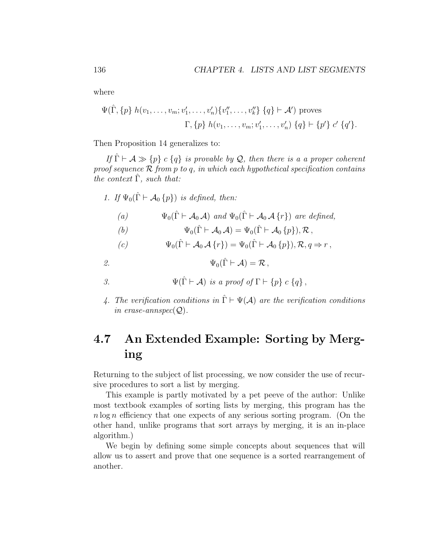where

$$
\Psi(\hat{\Gamma}, \{p\} \ h(v_1, \ldots, v_m; v'_1, \ldots, v'_n) \{v''_1, \ldots, v''_k\} \ \{q\} \vdash \mathcal{A}') \ \text{proves}
$$
\n
$$
\Gamma, \{p\} \ h(v_1, \ldots, v_m; v'_1, \ldots, v'_n) \ \{q\} \vdash \{p'\} \ c' \ \{q'\}.
$$

Then Proposition 14 generalizes to:

If  $\hat{\Gamma} \vdash A \gg \{p\}$  c  $\{q\}$  is provable by Q, then there is a a proper coherent proof sequence  $\mathcal R$  from p to q, in which each hypothetical specification contains the context  $\hat{\Gamma}$ , such that:

1. If  $\Psi_0(\hat{\Gamma} \vdash A_0 \{p\})$  is defined, then:

(a) 
$$
\Psi_0(\hat{\Gamma} \vdash \mathcal{A}_0 \mathcal{A})
$$
 and  $\Psi_0(\hat{\Gamma} \vdash \mathcal{A}_0 \mathcal{A} \{r\})$  are defined,

(b) 
$$
\Psi_0(\hat{\Gamma} \vdash \mathcal{A}_0 \mathcal{A}) = \Psi_0(\hat{\Gamma} \vdash \mathcal{A}_0 \{p\}), \mathcal{R},
$$

(c) 
$$
\Psi_0(\hat{\Gamma} \vdash \mathcal{A}_0 \mathcal{A} \{r\}) = \Psi_0(\hat{\Gamma} \vdash \mathcal{A}_0 \{p\}), \mathcal{R}, q \Rightarrow r,
$$

2.  $\Psi_0(\hat{\Gamma} \vdash \mathcal{A}) = \mathcal{R}$ ,

3. 
$$
\Psi(\hat{\Gamma} \vdash \mathcal{A}) \text{ is a proof of } \Gamma \vdash \{p\} \ c \ \{q\},
$$

4. The verification conditions in  $\hat{\Gamma} \vdash \Psi(\mathcal{A})$  are the verification conditions in erase-annspec $(Q)$ .

## 4.7 An Extended Example: Sorting by Merging

Returning to the subject of list processing, we now consider the use of recursive procedures to sort a list by merging.

This example is partly motivated by a pet peeve of the author: Unlike most textbook examples of sorting lists by merging, this program has the  $n \log n$  efficiency that one expects of any serious sorting program. (On the other hand, unlike programs that sort arrays by merging, it is an in-place algorithm.)

We begin by defining some simple concepts about sequences that will allow us to assert and prove that one sequence is a sorted rearrangement of another.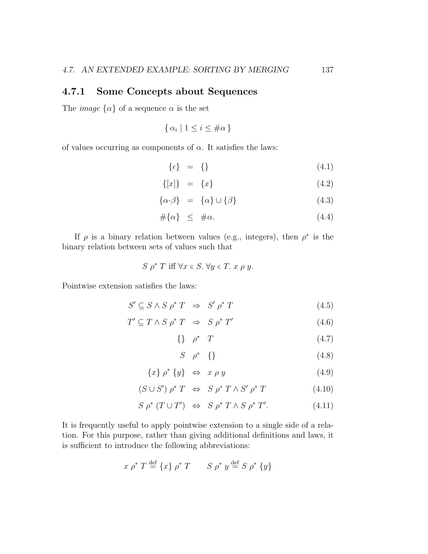#### 4.7.1 Some Concepts about Sequences

The *image*  $\{\alpha\}$  of a sequence  $\alpha$  is the set

$$
\{\alpha_i \mid 1 \le i \le \#\alpha\}
$$

of values occurring as components of  $\alpha$ . It satisfies the laws:

$$
\{\epsilon\} = \{\}\tag{4.1}
$$

$$
\{[x]\} = \{x\} \tag{4.2}
$$

$$
\{\alpha \cdot \beta\} = \{\alpha\} \cup \{\beta\} \tag{4.3}
$$

$$
\#\{\alpha\} \leq \#\alpha. \tag{4.4}
$$

If  $\rho$  is a binary relation between values (e.g., integers), then  $\rho^*$  is the binary relation between sets of values such that

$$
S \rho^* T \text{ iff } \forall x \in S. \ \forall y \in T. \ x \rho \ y.
$$

Pointwise extension satisfies the laws:

$$
S' \subseteq S \land S \rho^* T \implies S' \rho^* T \tag{4.5}
$$

$$
T' \subseteq T \wedge S \rho^* T \implies S \rho^* T' \tag{4.6}
$$

 $\{\} \rho^* T$  (4.7)

$$
S \quad \rho^* \quad \{\} \tag{4.8}
$$

$$
\{x\} \rho^* \{y\} \Leftrightarrow x \rho y \tag{4.9}
$$

 $(S \cup S') \rho^* T \Leftrightarrow S \rho^* T \wedge S' \rho$  $(4.10)$ 

$$
S \rho^* (T \cup T') \Leftrightarrow S \rho^* T \wedge S \rho^* T'. \tag{4.11}
$$

It is frequently useful to apply pointwise extension to a single side of a relation. For this purpose, rather than giving additional definitions and laws, it is sufficient to introduce the following abbreviations:

$$
x \rho^* T \stackrel{\text{def}}{=} \{x\} \rho^* T \qquad S \rho^* y \stackrel{\text{def}}{=} S \rho^* \{y\}
$$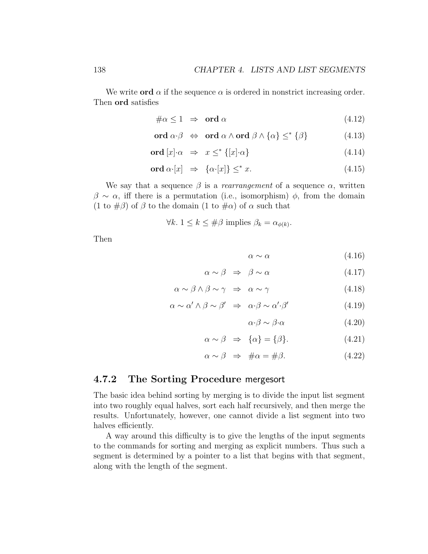We write **ord**  $\alpha$  if the sequence  $\alpha$  is ordered in nonstrict increasing order. Then ord satisfies

$$
\#\alpha \le 1 \;\Rightarrow\; \text{ord }\alpha \tag{4.12}
$$

$$
\text{ord } \alpha \cdot \beta \quad \Leftrightarrow \quad \text{ord } \alpha \wedge \text{ord } \beta \wedge \{\alpha\} \leq^* \{\beta\} \tag{4.13}
$$

$$
\text{ord}\left[x\right] \cdot \alpha \quad \Rightarrow \quad x \le^* \left\{ [x] \cdot \alpha \right\} \tag{4.14}
$$

$$
\text{ord }\alpha \cdot [x] \Rightarrow \{\alpha \cdot [x]\} \leq^* x. \tag{4.15}
$$

We say that a sequence  $\beta$  is a *rearrangement* of a sequence  $\alpha$ , written  $\beta \sim \alpha$ , iff there is a permutation (i.e., isomorphism)  $\phi$ , from the domain (1 to  $\#\beta$ ) of  $\beta$  to the domain (1 to  $\#\alpha$ ) of  $\alpha$  such that

$$
\forall k. \ 1 \le k \le \#\beta \text{ implies } \beta_k = \alpha_{\phi(k)}.
$$

Then

$$
\alpha \sim \alpha \tag{4.16}
$$

$$
\alpha \sim \beta \Rightarrow \beta \sim \alpha \tag{4.17}
$$

$$
\alpha \sim \beta \wedge \beta \sim \gamma \Rightarrow \alpha \sim \gamma \tag{4.18}
$$

$$
\alpha \sim \alpha' \wedge \beta \sim \beta' \Rightarrow \alpha \cdot \beta \sim \alpha' \cdot \beta'
$$
 (4.19)

$$
\alpha \cdot \beta \sim \beta \cdot \alpha \tag{4.20}
$$

$$
\alpha \sim \beta \Rightarrow \{\alpha\} = \{\beta\}. \tag{4.21}
$$

$$
\alpha \sim \beta \quad \Rightarrow \quad \# \alpha = \# \beta. \tag{4.22}
$$

#### 4.7.2 The Sorting Procedure mergesort

The basic idea behind sorting by merging is to divide the input list segment into two roughly equal halves, sort each half recursively, and then merge the results. Unfortunately, however, one cannot divide a list segment into two halves efficiently.

A way around this difficulty is to give the lengths of the input segments to the commands for sorting and merging as explicit numbers. Thus such a segment is determined by a pointer to a list that begins with that segment, along with the length of the segment.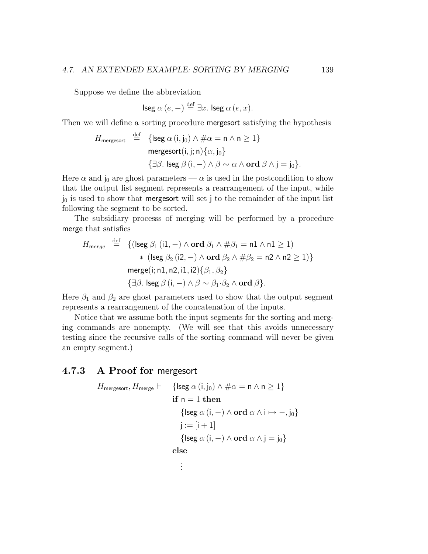Suppose we define the abbreviation

lseg  $\alpha(e,-) \stackrel{\text{def}}{=} \exists x.$  lseg  $\alpha(e,x)$ .

Then we will define a sorting procedure mergesort satisfying the hypothesis

$$
H_{\text{mergesort}} \stackrel{\text{def}}{=} \{ \text{lseg } \alpha(i, j_0) \land \# \alpha = n \land n \ge 1 \}
$$
  
mergesort(i, j; n) { $\alpha, j_0$ }  
{ $\exists \beta. \text{ lseg } \beta(i, -) \land \beta \sim \alpha \land \text{ord } \beta \land j = j_0 \}.$ 

Here  $\alpha$  and  $j_0$  are ghost parameters —  $\alpha$  is used in the postcondition to show that the output list segment represents a rearrangement of the input, while  $j_0$  is used to show that mergesort will set j to the remainder of the input list following the segment to be sorted.

The subsidiary processs of merging will be performed by a procedure merge that satisfies

$$
H_{merge} \stackrel{\text{def}}{=} \{ (\text{lseg } \beta_1 \, (\text{i1}, -) \land \text{ord } \beta_1 \land \# \beta_1 = \text{n1} \land \text{n1} \ge 1) \times (\text{lseg } \beta_2 \, (\text{i2}, -) \land \text{ord } \beta_2 \land \# \beta_2 = \text{n2} \land \text{n2} \ge 1) \}
$$
\n
$$
merge(\text{i}; \text{n1}, \text{n2}, \text{i1}, \text{i2}) \{ \beta_1, \beta_2 \}
$$
\n
$$
\{ \exists \beta. \text{ lseg } \beta \, (\text{i}, -) \land \beta \sim \beta_1 \cdot \beta_2 \land \text{ord } \beta \}.
$$

Here  $\beta_1$  and  $\beta_2$  are ghost parameters used to show that the output segment represents a rearrangement of the concatenation of the inputs.

Notice that we assume both the input segments for the sorting and merging commands are nonempty. (We will see that this avoids unnecessary testing since the recursive calls of the sorting command will never be given an empty segment.)

#### 4.7.3 A Proof for mergesort

$$
H_{\text{mergesort}}, H_{\text{merge}} \vdash \{ \text{lseg } \alpha(i, j_0) \land \# \alpha = n \land n \ge 1 \}
$$
\n
$$
\text{if } n = 1 \text{ then}
$$
\n
$$
\{ \text{lseg } \alpha(i, -) \land \text{ord } \alpha \land i \mapsto -, j_0 \}
$$
\n
$$
j := [i + 1]
$$
\n
$$
\{ \text{lseg } \alpha(i, -) \land \text{ord } \alpha \land j = j_0 \}
$$
\n
$$
\text{else}
$$
\n
$$
\vdots
$$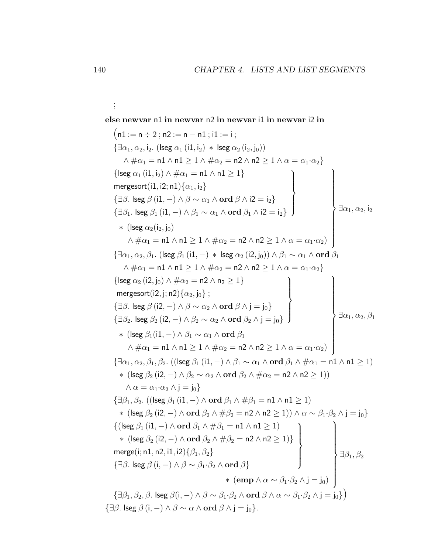. else newvar n1 in newvar n2 in newvar i1 in newvar i2 in  $(n1 := n \div 2; n2 := n - n1; i1 := i;$  $\{\exists \alpha_1, \alpha_2, i_2$ . (Iseg  $\alpha_1$  (i1, i<sub>2</sub>)  $*$  lseg  $\alpha_2$  (i<sub>2</sub>, j<sub>0</sub>))  $\wedge \# \alpha_1 = \mathsf{n1} \wedge \mathsf{n1} > 1 \wedge \# \alpha_2 = \mathsf{n2} \wedge \mathsf{n2} > 1 \wedge \alpha = \alpha_1 \cdot \alpha_2$  $\{ \text{lseg } \alpha_1 \text{ (i1, i}_2) \wedge \# \alpha_1 = \texttt{n1} \wedge \texttt{n1} \geq 1 \}$ mergesort $(\mathsf{i}1,\mathsf{i}2;\mathsf{n}1)\{\alpha_1,\mathsf{i}_2\}$ { $\exists \beta$ . lseg  $\beta$  (i1,  $-$ )  $\wedge$   $\beta \sim \alpha_1 \wedge \textbf{ord} \beta \wedge i2 = i_2$ } { $\exists \beta_1$ . lseg  $\beta_1$  (i1, -)  $\wedge \beta_1 \sim \alpha_1 \wedge \textbf{ord} \beta_1 \wedge i2 = i_2$ }  $\mathcal{L}$  $\left\lfloor$  $\Big\}$   $\exists \alpha_1, \alpha_2, i_2$  $*$  (lseg  $\alpha_2(i_2, j_0)$  $\wedge \#\alpha_1 = \mathsf{n1} \wedge \mathsf{n1} \geq 1 \wedge \#\alpha_2 = \mathsf{n2} \wedge \mathsf{n2} \geq 1 \wedge \alpha = \alpha_1 \!\cdot\! \alpha_2)$  $\mathcal{L}$  $\begin{array}{c} \hline \end{array}$  $\int$  ${\{\exists \alpha_1, \alpha_2, \beta_1.\ (\text{lseg }\beta_1\text{ (i1, }-) \ * \ \text{lseg }\alpha_2\text{ (i2, i_0))}\wedge \beta_1 \sim \alpha_1 \wedge \text{ord }\beta_1\}}$  $\wedge \# \alpha_1 = \mathsf{n1} \wedge \mathsf{n1} > 1 \wedge \# \alpha_2 = \mathsf{n2} \wedge \mathsf{n2} > 1 \wedge \alpha = \alpha_1 \cdot \alpha_2$  $\{\text{lseg } \alpha_2 \text{ (i2, i<sub>0</sub>)} \wedge \# \alpha_2 = \text{n2} \wedge \text{n}_2 > 1\}$ mergesort $(\mathsf{i2},\mathsf{j};\mathsf{n2})\{\alpha_2,\mathsf{j}_0\}$  ; {∃ $\beta$ . lseg  $\beta$  (i2, -)  $\wedge$   $\beta \sim \alpha_2 \wedge \textbf{ord} \beta \wedge j = j_0$ }  $\{\exists \beta_2.$  lseg  $\beta_2$   $(\mathsf{i2}, -) \wedge \beta_2 \sim \alpha_2 \wedge \mathbf{ord} \ \beta_2 \wedge \mathsf{j} = \mathsf{j}_0\}$  $\mathcal{L}$  $\overline{\mathcal{L}}$  $\Big\} \exists \alpha_1, \alpha_2, \beta_1$ ∗ (lseg $\beta_1(\textbf{i}1,-)\land\beta_1\sim\alpha_1\land\textbf{ord}\:\beta_1$  $\wedge \# \alpha_1 = \mathsf{n1} \wedge \mathsf{n1} \geq 1 \wedge \# \alpha_2 = \mathsf{n2} \wedge \mathsf{n2} \geq 1 \wedge \alpha = \alpha_1 \cdot \alpha_2$  $\mathcal{L}$  $\begin{array}{c} \hline \end{array}$  $\begin{array}{c} \hline \end{array}$  ${\exists \alpha_1, \alpha_2, \beta_1, \beta_2}$ . ((lseg  $\beta_1$  (i1, -)  $\wedge \beta_1 \sim \alpha_1 \wedge \text{ord } \beta_1 \wedge \# \alpha_1 = \text{nd } \wedge \text{nd } > 1$ )  $*(\text{[} \text{leg } \beta_2 \text{ (i2, -)} \land \beta_2 \sim \alpha_2 \land \text{ord } \beta_2 \land \# \alpha_2 = \text{n2} \land \text{n2} > 1))$  $\wedge \alpha = \alpha_1 \cdot \alpha_2 \wedge i = i_0$  $\{\exists \beta_1, \beta_2.$  ((lseg  $\beta_1$  (i1, -)  $\wedge$  ord  $\beta_1 \wedge \#\beta_1 = n1 \wedge n1 \geq 1$ )  $\ast$  (lseg  $\beta_2$  (i2, −) ∧ ord  $\beta_2 \wedge \#\beta_2 = n2 \wedge n2 \ge 1$ )) ∧  $\alpha \sim \beta_1 \cdot \beta_2 \wedge j = j_0$ }  $\{(\mathsf{lseg}\ \beta_1\,(\mathsf{i} 1, -)\land \mathbf{ord}\ \beta_1\land\#\beta_1=\mathsf{n1}\land\mathsf{n1}\geq 1)$  $* \ (\textsf{lseg }\beta_2\, (\textsf{i2},\textsf{-}) \land \textsf{ord} \ \beta_2 \land \#\beta_2 = \textsf{n2} \land \textsf{n2} \geq 1) \}$ merge $(\mathsf{i};\mathsf{n1},\mathsf{n2},\mathsf{i1},\mathsf{i2})\{\beta_1,\beta_2\}$  $\{\exists \beta.$  lseg  $\beta$   $(i, -) \wedge \beta \sim \beta_1 \cdot \beta_2 \wedge \textbf{ord} \; \beta\}$  $\mathcal{L}$  $\overline{\mathcal{L}}$  $\int$ ∗ (emp ∧ α ∼ β1·β<sup>2</sup> ∧ j = j0)  $\mathcal{L}$   $\begin{array}{c} \hline \end{array}$  $\exists \beta_1, \beta_2$  $\{\exists \beta_1, \beta_2, \beta\}$ . lseg  $\beta(i, -) \wedge \beta \sim \beta_1 \cdot \beta_2 \wedge \text{ord } \beta \wedge \alpha \sim \beta_1 \cdot \beta_2 \wedge j = j_0\})$  $\{\exists \beta. \text{~lseg } \beta(i, -) \wedge \beta \sim \alpha \wedge \text{ord } \beta \wedge i = i_0\}.$ 

. .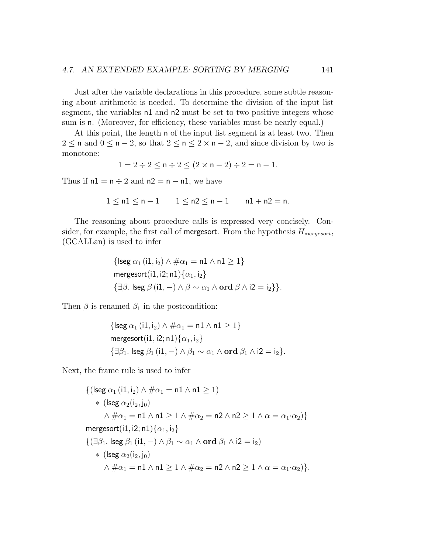Just after the variable declarations in this procedure, some subtle reasoning about arithmetic is needed. To determine the division of the input list segment, the variables n1 and n2 must be set to two positive integers whose sum is n. (Moreover, for efficiency, these variables must be nearly equal.)

At this point, the length n of the input list segment is at least two. Then 2 ≤ n and  $0 \le n - 2$ , so that  $2 \le n \le 2 \times n - 2$ , and since division by two is monotone:

$$
1 = 2 \div 2 \le n \div 2 \le (2 \times n - 2) \div 2 = n - 1.
$$

Thus if  $nl = n \div 2$  and  $nl = n - n1$ , we have

$$
1\leq n1\leq n-1\qquad 1\leq n2\leq n-1\qquad n1+n2=n.
$$

The reasoning about procedure calls is expressed very concisely. Consider, for example, the first call of **mergesort**. From the hypothesis  $H_{mergesort}$ , (GCALLan) is used to infer

$$
{\begin{aligned}\n\{\text{lseg } \alpha_1 \, (\text{i1}, \text{i}_2) \land \# \alpha_1 = \text{n1} \land \text{n1} \ge 1\} \\
\text{mergesort}(\text{i1}, \text{i2}; \text{n1}) \{\alpha_1, \text{i}_2\} \\
\{\exists \beta. \text{ lseg } \beta \, (\text{i1}, -) \land \beta \sim \alpha_1 \land \text{ord } \beta \land \text{i2} = \text{i}_2\}.\n\end{aligned}}
$$

Then  $\beta$  is renamed  $\beta_1$  in the postcondition:

$$
\{ \text{lseg } \alpha_1 \ (\text{i1}, \text{i}_2) \land \# \alpha_1 = \text{n1} \land \text{n1} \ge 1 \}
$$
\n
$$
\text{mergesort}(\text{i1}, \text{i2}; \text{n1}) \{ \alpha_1, \text{i}_2 \}
$$
\n
$$
\{ \exists \beta_1. \ \text{lseg } \beta_1 \ (\text{i1}, -) \land \beta_1 \sim \alpha_1 \land \text{ord } \beta_1 \land \text{i2} = \text{i}_2 \}.
$$

Next, the frame rule is used to infer

$$
\{(\text{lseg }\alpha_1 \, (\text{i1},\text{i2}) \land \# \alpha_1 = \text{n1} \land \text{n1} \ge 1) \times (\text{lseg }\alpha_2 (\text{i2},\text{j0}) \land \# \alpha_1 = \text{n1} \land \text{n1} \ge 1 \land \# \alpha_2 = \text{n2} \land \text{n2} \ge 1 \land \alpha = \alpha_1 \cdot \alpha_2)\}
$$
\n
$$
\text{mergesort}(\text{i1},\text{i2};\text{n1})\{\alpha_1,\text{i2}\}
$$
\n
$$
\{(\exists \beta_1.\text{~lseg }\beta_1 \, (\text{i1},\text{-}) \land \beta_1 \sim \alpha_1 \land \text{ord }\beta_1 \land \text{i2} = \text{i2}) \times (\text{~lseg }\alpha_2 (\text{i2},\text{j0}) \land \# \alpha_1 = \text{n1} \land \text{n1} \ge 1 \land \# \alpha_2 = \text{n2} \land \text{n2} \ge 1 \land \alpha = \alpha_1 \cdot \alpha_2)\}.
$$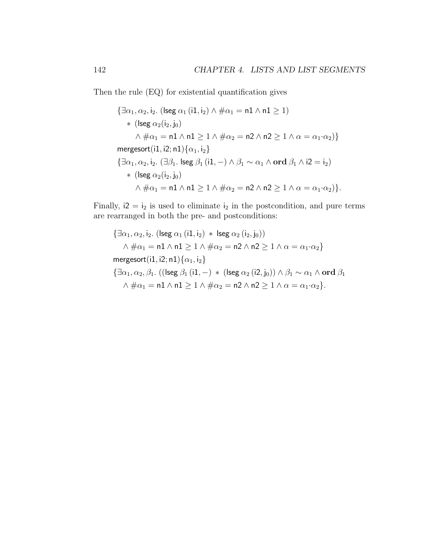Then the rule (EQ) for existential quantification gives

$$
\{\exists \alpha_1, \alpha_2, i_2. \ (\text{leg } \alpha_1 \ (\text{i1}, i_2) \land \# \alpha_1 = \mathsf{n1} \land \mathsf{n1} \geq 1) \}
$$
\n
$$
*(\text{leg } \alpha_2 (i_2, j_0)
$$
\n
$$
\land \# \alpha_1 = \mathsf{n1} \land \mathsf{n1} \geq 1 \land \# \alpha_2 = \mathsf{n2} \land \mathsf{n2} \geq 1 \land \alpha = \alpha_1 \cdot \alpha_2) \}
$$
\n
$$
\text{mergesort}(\text{i1}, \text{i2}; \mathsf{n1}) \{\alpha_1, i_2\}
$$
\n
$$
\{\exists \alpha_1, \alpha_2, i_2. \ (\exists \beta_1. \ \text{leg } \beta_1 \ (\text{i1}, -) \land \beta_1 \sim \alpha_1 \land \text{ord } \beta_1 \land \text{i2} = i_2) \}
$$
\n
$$
*(\text{leg } \alpha_2 (i_2, j_0)
$$
\n
$$
\land \# \alpha_1 = \mathsf{n1} \land \mathsf{n1} \geq 1 \land \# \alpha_2 = \mathsf{n2} \land \mathsf{n2} \geq 1 \land \alpha = \alpha_1 \cdot \alpha_2) \}.
$$

Finally,  $i2 = i_2$  is used to eliminate  $i_2$  in the postcondition, and pure terms are rearranged in both the pre- and postconditions:

$$
\{\exists \alpha_1, \alpha_2, i_2. \ (\text{lseg }\alpha_1 \ (\text{id}, i_2) \ * \ \text{lseg }\alpha_2 \ (i_2, j_0))\n\land \# \alpha_1 = \mathsf{n1} \land \mathsf{n1} \geq 1 \land \# \alpha_2 = \mathsf{n2} \land \mathsf{n2} \geq 1 \land \alpha = \alpha_1 \cdot \alpha_2\}
$$
\n
$$
\text{mergesort}(i1, i2; \mathsf{n1})\{\alpha_1, i_2\}
$$
\n
$$
\{\exists \alpha_1, \alpha_2, \beta_1. \ ((\text{lseg }\beta_1 \ (\text{id}, -) \ * \ (\text{lseg }\alpha_2 \ (\text{id}, j_0)) \land \beta_1 \sim \alpha_1 \land \text{ord }\beta_1 \land \# \alpha_1 = \mathsf{n1} \land \mathsf{n1} \geq 1 \land \# \alpha_2 = \mathsf{n2} \land \mathsf{n2} \geq 1 \land \alpha = \alpha_1 \cdot \alpha_2\}.
$$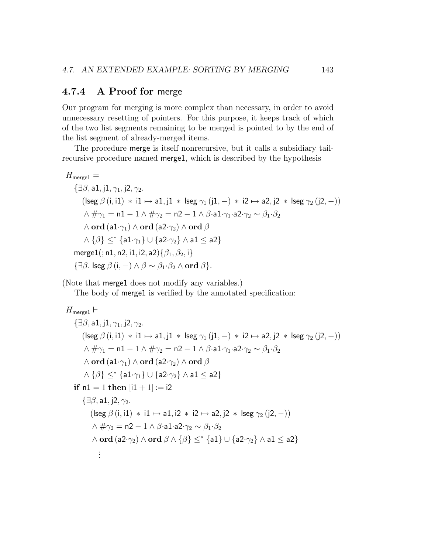#### 4.7.4 A Proof for merge

Our program for merging is more complex than necessary, in order to avoid unnecessary resetting of pointers. For this purpose, it keeps track of which of the two list segments remaining to be merged is pointed to by the end of the list segment of already-merged items.

The procedure merge is itself nonrecursive, but it calls a subsidiary tailrecursive procedure named merge1, which is described by the hypothesis

```
H_{\text{merge1}} =\{\exists \beta, a1, i1, \gamma_1, i2, \gamma_2.\}(\text{leg } \beta(i, i1) * i1 \mapsto a1, i1 * \text{leg } \gamma_1 (i1, -) * i2 \mapsto a2, i2 * \text{leg } \gamma_2 (i2, -))\wedge \# \gamma_1 = \mathsf{n} 1 - 1 \wedge \# \gamma_2 = \mathsf{n} 2 - 1 \wedge \beta \cdot \mathsf{a} 1 \cdot \gamma_1 \cdot \mathsf{a} 2 \cdot \gamma_2 \sim \beta_1 \cdot \beta_2\wedge ord (a1·\gamma_1) \wedge ord (a2·\gamma_2) \wedge ord \beta\wedge {\beta} \lt^* {a1·\gamma_1} \cup {a2·\gamma_2} \wedge a1 \lt a2}
     merge1(; n1, n2, i1, i2, a2)\{\beta_1, \beta_2, i\}\{\exists \beta. \text{~lseg } \beta(i, -) \wedge \beta \sim \beta_1 \cdot \beta_2 \wedge \text{ord } \beta\}.
```
(Note that merge1 does not modify any variables.)

The body of **merge1** is verified by the annotated specification:

```
H_{\text{merge1}} \vdash\{\exists \beta, a1, i1, \gamma_1, i2, \gamma_2.\}(\text{Iseg } \beta (i, i1) * i1 \mapsto a1, j1 * \text{Iseg } \gamma_1 (j1, −) * i2 \mapsto a2, j2 * \text{Iseg } \gamma_2 (j2, −))
          \wedge \# \gamma_1 = \mathsf{n1} - 1 \wedge \# \gamma_2 = \mathsf{n2} - 1 \wedge \beta \cdot \mathsf{a1} \cdot \gamma_1 \cdot \mathsf{a2} \cdot \gamma_2 \sim \beta_1 \cdot \beta_2\wedge ord (a1·\gamma_1) \wedge ord (a2·\gamma_2) \wedge ord \beta\wedge {\beta} \lt^* {a1·\gamma_1} \cup {a2·\gamma_2} \wedge a1 \lt a2}
    if nl = 1 then [i1 + 1] := i2\{\exists \beta, a1, i2, \gamma_2.\}(\text{Isee } \beta (i, i1) * i1 \mapsto a1, i2 * i2 \mapsto a2, i2 * \text{Isee } \gamma_2 (i2, -))
               \wedge \# \gamma_2 = n2 - 1 \wedge \beta \cdot a1 \cdot a2 \cdot \gamma_2 \sim \beta_1 \cdot \beta_2\wedge ord (a2·\gamma_2) \wedge ord \beta \wedge {\{\beta\}} \leq^* {a1} \cup {a2·\gamma_2} \wedge a1 \leq a2}
                   .
.
.
```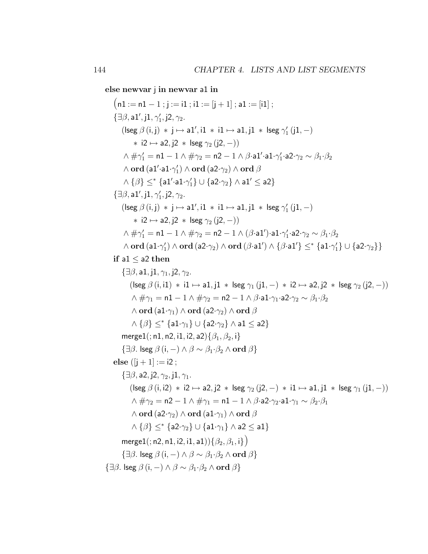else newvar j in newvar a1 in

 $(n1 := n1 - 1; j := i1; i1 := [j + 1]; a1 := [i1];$  $\{\exists \beta, \mathsf{a1}^\prime, \mathsf{j1}, \gamma_1^\prime, \mathsf{j2}, \gamma_2.$  $(\mathrm{lseg}\ \beta\, (i,j)\ * \ j \mapsto \mathsf{a1}^\prime, \mathsf{i1}\ * \ \mathsf{i1} \mapsto \mathsf{a1}, \mathsf{j1}\ * \ \mathsf{lseg}\ \gamma_1^\prime\, (\mathsf{j1},-)$  $\ast$  i2  $\mapsto$  a2, j2  $\ast$  lseg  $\gamma_2$  (j2, -))  $\wedge$   $\#\gamma_1' =$  n1  $-$  1  $\wedge$   $\#\gamma_2 =$  n2  $-$  1  $\wedge$   $\beta$ ·a1 $'$ ·a1· $\gamma_1'$ ·a2· $\gamma_2 \sim \beta_1$ · $\beta_2$  $\wedge$  ord  $(\mathsf{a1'\cdot a1\cdot \gamma_{1}^{\prime}}) \wedge \mathbf{ord}$   $(\mathsf{a2\cdot \gamma_{2}}) \wedge \mathbf{ord}~ \beta$  $\land$   $\{\beta\} \le^*$   $\{a1'\cdot a1\cdot\gamma_1'\} \cup \{a2\cdot\gamma_2\} \land a1'\le a2\}$  $\{\exists \beta, \mathsf{a1}^\prime, \mathsf{j1}, \gamma_1^\prime, \mathsf{j2}, \gamma_2.$  $(\mathrm{lseg}\ \beta\, (i,j)\ * \ j \mapsto \mathsf{a1}^\prime, \mathsf{i1}\ * \ \mathsf{i1} \mapsto \mathsf{a1}, \mathsf{j1}\ * \ \mathsf{lseg}\ \gamma_1^\prime\ (\mathsf{j1},-)$  $\ast$  i2  $\mapsto$  a2, i2  $\ast$  lseg  $\gamma_2$  (i2, -))  $\wedge \# \gamma_1' = \mathsf{n1} - 1 \wedge \# \gamma_2 = \mathsf{n2} - 1 \wedge (\beta \mathord{\cdot} \mathsf{a} 1') \mathord{\cdot} \mathsf{a} 1 \mathord{\cdot} \gamma_1' \mathord{\cdot} \mathsf{a} 2 \mathord{\cdot} \gamma_2 \sim \beta_1 \mathord{\cdot} \beta_2$  $\wedge$  ord  $(\mathsf{a1} \cdot \gamma'_1) \wedge \mathbf{ord}$   $(\mathsf{a2} \cdot \gamma_2) \wedge \mathbf{ord}$   $(\beta \cdot \mathsf{a1'}) \wedge \{\beta \cdot \mathsf{a1'}\} \leq^* \{\mathsf{a1} \cdot \gamma'_1\} \cup \{\mathsf{a2} \cdot \gamma_2\}\}$ if a $1 <$  a $2$  then  $\{\exists \beta, a1, i1, \gamma_1, i2, \gamma_2.\}$  $(\text{leg } \beta(i, i1) * i1 \mapsto a1, j1 * \text{leg } \gamma_1 (j1, -) * i2 \mapsto a2, j2 * \text{leg } \gamma_2 (j2, -))$  $\wedge \# \gamma_1 = \mathsf{n1} - 1 \wedge \# \gamma_2 = \mathsf{n2} - 1 \wedge \beta \cdot \mathsf{a1} \cdot \gamma_1 \cdot \mathsf{a2} \cdot \gamma_2 \sim \beta_1 \cdot \beta_2$  $\wedge$  ord (a1· $\gamma_1$ )  $\wedge$  ord (a2· $\gamma_2$ )  $\wedge$  ord  $\beta$  $\wedge$  { $\beta$ }  $\lt^*$  {a1· $\gamma_1$ }  $\cup$  {a2· $\gamma_2$ }  $\wedge$  a1  $\lt$  a2} merge1(; n1, n2, i1, i2, a2) $\{\beta_1, \beta_2, i\}$  $\{\exists \beta. \text{~lseg } \beta \text{ (i, -)} \land \beta \sim \beta_1 \cdot \beta_2 \land \text{ord } \beta\}$ else  $([i + 1] := i2$ :  $\{\exists \beta, a2, i2, \gamma_2, i1, \gamma_1,$  $(\text{lseg } \beta \text{ (i, i2) } * 12 \mapsto a2, j2 * \text{lseg } \gamma_2 \text{ (j2, -) } * 11 \mapsto a1, j1 * \text{lseg } \gamma_1 \text{ (j1, -))}$  $\wedge \# \gamma_2 = n2 - 1 \wedge \# \gamma_1 = n1 - 1 \wedge \beta \cdot a2 \cdot \gamma_2 \cdot a1 \cdot \gamma_1 \sim \beta_2 \cdot \beta_1$  $\wedge$  ord (a2· $\gamma_2$ )  $\wedge$  ord (a1· $\gamma_1$ )  $\wedge$  ord  $\beta$  $\wedge$  { $\beta$ }  $\lt^*$  {a2· $\gamma_2$ }  $\cup$  {a1· $\gamma_1$ }  $\wedge$  a2  $\lt$  a1} merge1(; n2, n1, i2, i1, a1)) $\{\beta_2, \beta_1, i\}$ )  $\{\exists \beta. \text{~lseg } \beta \text{ (i, -)} \land \beta \sim \beta_1 \cdot \beta_2 \land \text{ord } \beta\}$  $\{\exists \beta. \text{~lseg } \beta(i, -) \wedge \beta \sim \beta_1 \cdot \beta_2 \wedge \text{ord } \beta\}$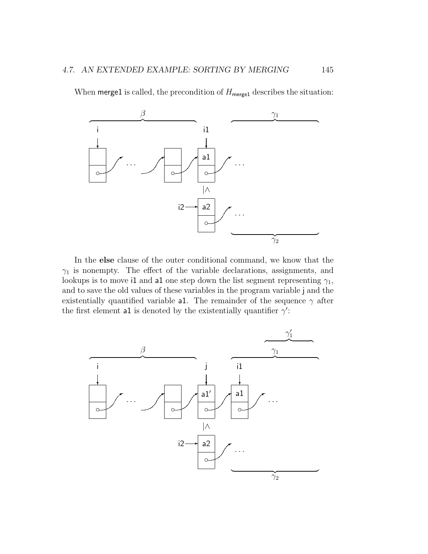When merge1 is called, the precondition of  $H_{\text{merge1}}$  describes the situation:



In the else clause of the outer conditional command, we know that the  $\gamma_1$  is nonempty. The effect of the variable declarations, assignments, and lookups is to move i1 and a1 one step down the list segment representing  $\gamma_1$ , and to save the old values of these variables in the program variable j and the existentially quantified variable a1. The remainder of the sequence  $\gamma$  after the first element all is denoted by the existentially quantifier  $\gamma'$ :

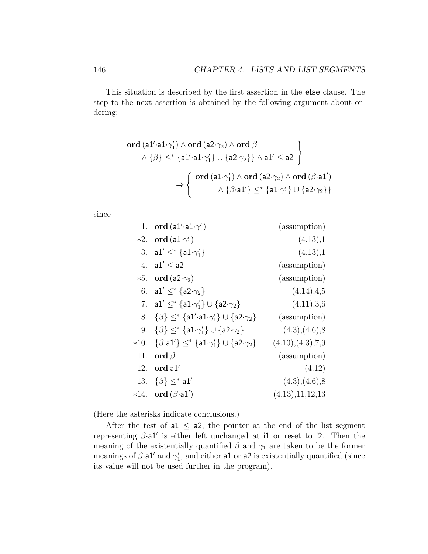This situation is described by the first assertion in the else clause. The step to the next assertion is obtained by the following argument about ordering:

$$
\textbf{ord}\left(\texttt{a1' \cdot a1 \cdot \gamma_1'} \right) \land \textbf{ord}\left(\texttt{a2} \cdot \gamma_2\right) \land \textbf{ord}\left(\beta\right) \\
\land \{\beta\} \leq^* \{\texttt{a1' \cdot a1} \cdot \gamma_1'\} \cup \{\texttt{a2} \cdot \gamma_2\}\} \land \texttt{a1'} \leq \texttt{a2}\n\}
$$
\n
$$
\Rightarrow \left\{\n\begin{array}{c}\n\textbf{ord}\left(\texttt{a1} \cdot \gamma_1'\right) \land \textbf{ord}\left(\texttt{a2} \cdot \gamma_2\right) \land \textbf{ord}\left(\beta \cdot \texttt{a1'}\right) \\
\land \{\beta \cdot \texttt{a1'}\} \leq^* \{\texttt{a1} \cdot \gamma_1'\} \cup \{\texttt{a2} \cdot \gamma_2\}\n\end{array}\n\right\}
$$

since

|        | 1. ord $(al' \cdot al \cdot \gamma'_1)$                                     | (assumption)        |
|--------|-----------------------------------------------------------------------------|---------------------|
|        | *2. ord $(\text{a1-}\gamma_1')$                                             | (4.13),1            |
|        | 3. a1' $\leq^*$ {a1. $\gamma_1'$ }                                          | (4.13),1            |
|        | 4. $a1' < a2$                                                               | (assumption)        |
|        | *5. ord $(a2-\gamma_2)$                                                     | (assumption)        |
|        | 6. a1' $\leq^*$ {a2 $\cdot\gamma_2$ }                                       | (4.14), 4.5         |
|        | 7. a1' $\leq^*$ {a1. $\gamma_1'$ } $\cup$ {a2. $\gamma_2$ }                 | (4.11), 3.6         |
| 8.     | $\{\beta\} \leq^* \{a1'\cdot a1\cdot \gamma_1'\} \cup \{a2\cdot \gamma_2\}$ | (assumption)        |
|        | 9. $\{\beta\} \leq^* \{a1.\gamma_1'\} \cup \{a2.\gamma_2\}$                 | (4.3), (4.6), 8     |
| $*10.$ | $\{\beta\cdot a1'\}\leq^* \{a1\cdot\gamma_1'\}\cup\{a2\cdot\gamma_2\}$      | (4.10), (4.3), 7, 9 |
| 11.    | ord $\beta$                                                                 | (assumption)        |
| 12.    | ord al'                                                                     | (4.12)              |
|        | 13. $\{\beta\} \leq^*$ a1'                                                  | (4.3), (4.6), 8     |
|        | *14. ord $(\beta \cdot a1')$                                                | (4.13), 11, 12, 13  |

(Here the asterisks indicate conclusions.)

After the test of al  $\leq$  a2, the pointer at the end of the list segment representing  $\beta \cdot a1'$  is either left unchanged at i1 or reset to i2. Then the meaning of the existentially quantified  $\beta$  and  $\gamma_1$  are taken to be the former meanings of  $\beta$  and  $\gamma_1'$ , and either all or a2 is existentially quantified (since its value will not be used further in the program).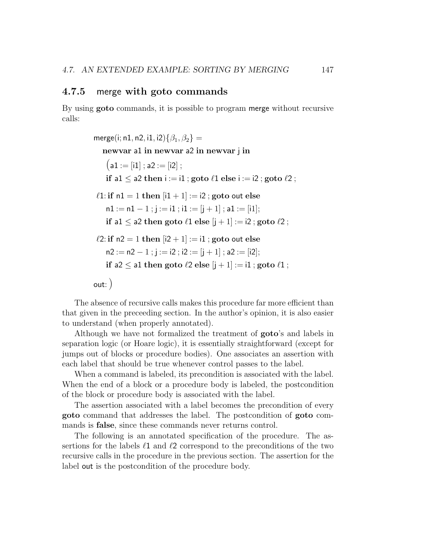#### 4.7.5 merge with goto commands

By using goto commands, it is possible to program merge without recursive calls:

> merge(i; n1, n2, i1, i2) $\{\beta_1, \beta_2\}$  = newvar a1 in newvar a2 in newvar j in  $(a1 := [i1]$ ; a2 := [i2]; if a1  $\le$  a2 then i := i1 ; goto  $\ell$ 1 else i := i2 ; goto  $\ell$ 2 ;  $\ell$ 1: if n1 = 1 then  $[i1 + 1] := i2$ ; goto out else  $n1 := n1 - 1$ ;  $i := i1$ ;  $i1 := [i + 1]$ ;  $a1 := [i1]$ ; if a1  $\leq$  a2 then goto  $\ell$ 1 else  $|j + 1| := i$  ; goto  $\ell$ 2 ;  $\ell$ 2: if n2 = 1 then  $|i$ 2 + 1  $| := i1$  ; goto out else  $n2 := n2 - 1$ ; j := i2; i2 := [j + 1]; a2 := [i2]; if a2  $\leq$  a1 then goto  $\ell$ 2 else  $|j + 1| := i1$ ; goto  $\ell$ 1; out:)

The absence of recursive calls makes this procedure far more efficient than that given in the preceeding section. In the author's opinion, it is also easier to understand (when properly annotated).

Although we have not formalized the treatment of goto's and labels in separation logic (or Hoare logic), it is essentially straightforward (except for jumps out of blocks or procedure bodies). One associates an assertion with each label that should be true whenever control passes to the label.

When a command is labeled, its precondition is associated with the label. When the end of a block or a procedure body is labeled, the postcondition of the block or procedure body is associated with the label.

The assertion associated with a label becomes the precondition of every goto command that addresses the label. The postcondition of goto commands is false, since these commands never returns control.

The following is an annotated specification of the procedure. The assertions for the labels  $\ell_1$  and  $\ell_2$  correspond to the preconditions of the two recursive calls in the procedure in the previous section. The assertion for the label out is the postcondition of the procedure body.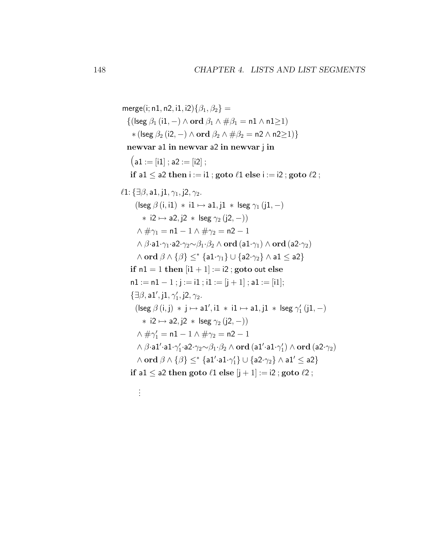```
merge(i; n1, n2, i1, i2)\{\beta_1, \beta_2\} =
   \{(\text{lseg }\beta_1(i1,-)\wedge \text{ord }\beta_1\wedge \# \beta_1=n1\wedge n1>1)*(\text{|seg }\beta_2(i2,-)\land \text{ord }\beta_2 \land \# \beta_2 = n2 \land n2 \ge 1)}
   newvar a1 in newvar a2 in newvar j in
     (a1 := [i1]; a2 := [i2];
     if a1 \le a2 then i := i1 ; goto \ell1 else i := i2 ; goto \ell2 ;
\ell1: {∃\beta, a1, j1, \gamma_1, j2, \gamma_2.
        (lseg β (i, i1) ∗ i1 7→ a1, j1 ∗ lseg γ1 (j1, −)
            \ast i2 \mapsto a2, j2 \ast lseg \gamma_2 (j2, -))
         \wedge \# \gamma_1 = \mathsf{n1} - 1 \wedge \# \gamma_2 = \mathsf{n2} - 1\wedge \beta·a1·\gamma_1·a2·\gamma_2 \sim \beta_1 \cdot \beta_2 \wedge \textbf{ord} (a1·\gamma_1) \wedge ord (a2·\gamma_2)
         \wedge ord \beta \wedge {\beta} <^* {\{a1\cdot \gamma_1\} \cup {a2\cdot \gamma_2\} \wedge a1} < a2if nl = 1 then [i1 + 1] := i2; goto out else
     n1 := n1 - 1; j := i1; i1 := [i + 1]; a1 := [i1];
      \{\exists \beta, \mathsf{a1}^\prime, \mathsf{j1}, \gamma_1^\prime, \mathsf{j2}, \gamma_2.(\textsf{lseg }\beta\ (\mathsf{i},\mathsf{j}) \, * \, \mathsf{j} \mapsto \mathsf{a1}', \mathsf{i1} \, * \, \mathsf{i1} \mapsto \mathsf{a1}, \mathsf{j1} \, * \, \mathsf{lseg}\ \gamma_1'\ (\mathsf{j1},-)\ast i2 \mapsto a2, j2 \ast lseg \gamma_2 (j2, -))
         \wedge \#\gamma_1' = n1 - 1 \wedge \#\gamma_2 = n2 - 1
         \wedge \beta·a1'·a1·\gamma'_1·a2·\gamma_2{\sim}\beta_1·\beta_2 \wedge \rm ord ({\tt al' \cdot al \cdot \gamma'_1}) \wedge \rm ord ({\tt a2}{\cdot}\gamma_2)\wedge ord \beta \wedge \{\beta\} \le^* \{\textsf{a1}'\textsf{\cdot a1}\textsf{\cdot} \gamma_1'\} \cup \{\textsf{a2}\textsf{\cdot} \gamma_2\} \wedge \textsf{a1}' \le \textsf{a2}\}if a1 \le a2 then goto \ell1 else |j + 1| := i ; goto \ell2 ;
          .
.
.
```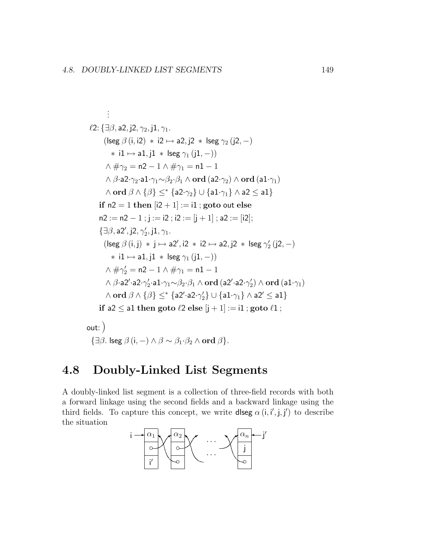$$
\ell2: \{\exists \beta, a2, j2, \gamma_2, j1, \gamma_1.
$$
\n
$$
(\text{leg } \beta (i, i2) * i2 \mapsto a2, j2 * \text{ leg } \gamma_2 (j2, -)
$$
\n
$$
* i1 \mapsto a1, j1 * \text{ leg } \gamma_1 (j1, -))
$$
\n
$$
\wedge \# \gamma_2 = n2 - 1 \wedge \# \gamma_1 = n1 - 1
$$
\n
$$
\wedge \beta \cdot a2 \cdot \gamma_2 \cdot a1 \cdot \gamma_1 \sim \beta_2 \cdot \beta_1 \wedge \text{ord} (a2 \cdot \gamma_2) \wedge \text{ord} (a1 \cdot \gamma_1)
$$
\n
$$
\wedge \text{ord } \beta \wedge \{\beta\} \leq^* \{a2 \cdot \gamma_2\} \cup \{a1 \cdot \gamma_1\} \wedge a2 \leq a1\}
$$
\nif n2 = 1 then [i2 + 1] := i1; goto out else  
\n
$$
n2 := n2 - 1; j := i2; i2 := [j + 1] ; a2 := [i2];
$$
\n
$$
\{\exists \beta, a2', j2, \gamma_2', j1, \gamma_1.
$$
\n
$$
(\text{leg } \beta (i, j) * j \mapsto a2', i2 * i2 \mapsto a2, j2 * \text{ leg } \gamma_2' (j2, -)
$$
\n
$$
* i1 \mapsto a1, j1 * \text{lse } \gamma_1 (j1, -))
$$
\n
$$
\wedge \# \gamma_2' = n2 - 1 \wedge \# \gamma_1 = n1 - 1
$$
\n
$$
\wedge \beta \cdot a2' \cdot a2 \cdot \gamma_2' \cdot a1 \cdot \gamma_1 \sim \beta_2 \cdot \beta_1 \wedge \text{ord} (a2' \cdot a2 \cdot \gamma_2') \wedge \text{ord} (a1 \cdot \gamma_1)
$$
\n
$$
\wedge \text{ord } \beta \wedge \{\beta\} \leq^* \{a2' \cdot a2 \cdot \gamma_2'\} \cup \{a1 \cdot \gamma_1\} \wedge a2' \leq a1\}
$$
\nif a2 \leq a1 then goto \ell2 else [j + 1] := i1; goto \ell1 ;

out:) { $\exists \beta$ . lseg  $\beta$  (i, -)  $\wedge$   $\beta \sim \beta_1 \cdot \beta_2 \wedge \textbf{ord } \beta$ }.

## 4.8 Doubly-Linked List Segments

A doubly-linked list segment is a collection of three-field records with both a forward linkage using the second fields and a backward linkage using the third fields. To capture this concept, we write diseg  $\alpha(i, i', j, j')$  to describe the situation

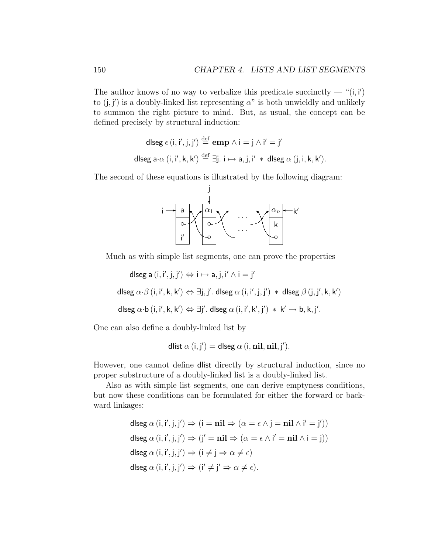The author knows of no way to verbalize this predicate succinctly — " $(i, i')$ " to  $(j, j')$  is a doubly-linked list representing  $\alpha$ " is both unwieldly and unlikely to summon the right picture to mind. But, as usual, the concept can be defined precisely by structural induction:

dlseg 
$$
\epsilon
$$
 (i, i', j, j')  $\stackrel{\text{def}}{=} \text{emp } \wedge i = j \wedge i' = j'$   
dlseg a· $\alpha$  (i, i', k, k')  $\stackrel{\text{def}}{=} \exists j. i \mapsto a, j, i' * dlseg \alpha (j, i, k, k').$ 

The second of these equations is illustrated by the following diagram:



Much as with simple list segments, one can prove the properties

dlseg a  $(i, i', j, j') \Leftrightarrow i \mapsto a, j, i' \wedge i = j'$ 

dlseg  $\alpha \cdot \beta$   $(i, i', k, k') \Leftrightarrow \exists j, j'.$  dlseg  $\alpha$   $(i, i', j, j') \ast$  dlseg  $\beta$   $(j, j', k, k')$ 

dlseg  $\alpha \cdot b$   $(i, i', k, k') \Leftrightarrow \exists j'.$  dlseg  $\alpha(i, i', k', j') \ast k' \mapsto b, k, j'.$ 

One can also define a doubly-linked list by

$$
dlist \alpha (i, j') = dlse g \alpha (i, nil, nil, j').
$$

However, one cannot define dlist directly by structural induction, since no proper substructure of a doubly-linked list is a doubly-linked list.

Also as with simple list segments, one can derive emptyness conditions, but now these conditions can be formulated for either the forward or backward linkages:

> dlseg  $\alpha(i, i', j, j') \Rightarrow (i = nil \Rightarrow (\alpha = \epsilon \land j = nil \land i' = j'))$ dlseg  $\alpha(i, i', j, j') \Rightarrow (j' = nil \Rightarrow (\alpha = \epsilon \wedge i' = nil \wedge i = j))$ dlseg  $\alpha$  (i, i', j, j')  $\Rightarrow$  (i  $\neq$  j  $\Rightarrow$   $\alpha \neq \epsilon$ ) dlseg  $\alpha$   $(i, i', j, j') \Rightarrow (i' \neq j' \Rightarrow \alpha \neq \epsilon)$ .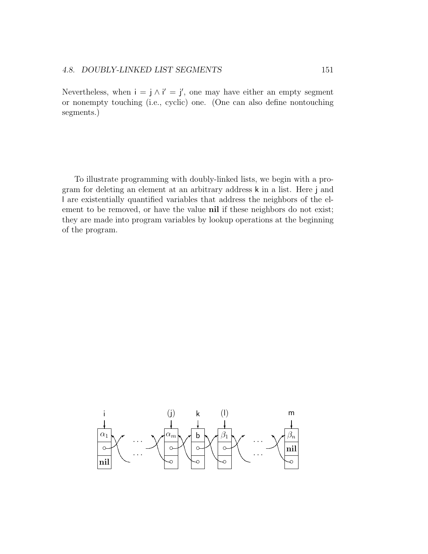Nevertheless, when  $i = j \wedge i' = j'$ , one may have either an empty segment or nonempty touching (i.e., cyclic) one. (One can also define nontouching segments.)

To illustrate programming with doubly-linked lists, we begin with a program for deleting an element at an arbitrary address k in a list. Here j and l are existentially quantified variables that address the neighbors of the element to be removed, or have the value nil if these neighbors do not exist; they are made into program variables by lookup operations at the beginning of the program.

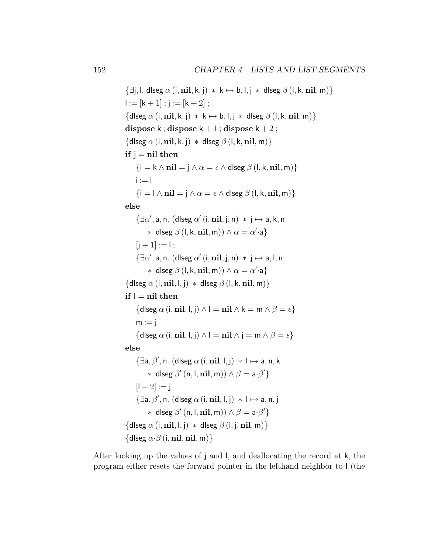```
\{\exists j, l. dlseg \alpha (i, nil, k, j) * k \mapsto b, l, j * dlseg \beta (l, k, nil, m)}
l := [k + 1]; j := [k + 2];
\{\text{dlseg }\alpha(i, \text{nil}, k, i) * k \mapsto b, l, i * \text{dlseg }\beta(l, k, \text{nil}, m)\}\dispose k; dispose k + 1; dispose k + 2;
\{dlseg \alpha (i, nil, k, j) * dlseg \beta (l, k, nil, m)}
if j = nil then
      \{i = k \wedge nil = j \wedge \alpha = \epsilon \wedge d \text{leg } \beta (l, k, nil, m)\}i := 1\{i = \lambda \text{ nil} = i \wedge \alpha = \epsilon \wedge \text{dlseg } \beta (l, k, nil, m) \}else
       \{\exists \alpha', \mathsf{a}, \mathsf{n}. \ (\mathsf{dlseg}\ \alpha'\ (\mathsf{i}, \mathbf{nil}, \mathsf{j}, \mathsf{n}) \ * \ \mathsf{j} \mapsto \mathsf{a}, \mathsf{k}, \mathsf{n} \}* dlseg \beta (l, k, nil, m)) \wedge \alpha = \alpha'·a}
      [i + 1] := 1;\{\exists \alpha', \mathsf{a}, \mathsf{n}. \ (\mathsf{dlseg}\ \alpha'\ (\mathsf{i}, \mathsf{nil}, \mathsf{j}, \mathsf{n}) \ * \mathsf{j} \mapsto \mathsf{a}, \mathsf{l}, \mathsf{n} \}* dlseg \beta (l, k, nil, m)) \wedge \alpha = \alpha'·a}
\{\mathsf{dlseg}\,\alpha\,(\mathsf{i},\mathsf{nil},\mathsf{l},\mathsf{j}) \; * \; \mathsf{dlseg}\,\beta\,(\mathsf{l},\mathsf{k},\mathsf{nil},\mathsf{m})\}\if \, l = nil then\{\text{dlseg }\alpha(i, \textbf{nil}, l, j) \wedge l = \textbf{nil} \wedge k = \textbf{m} \wedge \beta = \epsilon\}m := i\{\text{dlseg }\alpha(i, \textbf{nil}, l, j) \wedge l = \textbf{nil} \wedge j = \textbf{m} \wedge \beta = \epsilon\}else
       \{\exists a, \beta', n. (dlseg \alpha (i, nil, l, j) * l \mapsto a, n, k
               * dlseg \beta' (n, l, nil, m)) \land \beta = a \cdot \beta'}
      [1 + 2] := i\{\exists a, \beta', n. (dlseg \alpha (i, nil, l, j) * l \mapsto a, n, j
               * dlseg \beta' (n, l, nil, m)) \land \beta = a \cdot \beta'}
\{\mathsf{dlseg}\ \alpha\ (\mathsf{i}, \mathsf{nil}, \mathsf{l}, \mathsf{j}) \ * \ \mathsf{dlseg}\ \beta\ (\mathsf{l}, \mathsf{j}, \mathsf{nil}, \mathsf{m})\}\{\mathsf{dlseg}\ \alpha \cdot \beta\ (\mathsf{i}, \mathsf{nil}, \mathsf{nil}, \mathsf{m})\}
```
After looking up the values of j and l, and deallocating the record at k, the program either resets the forward pointer in the lefthand neighbor to l (the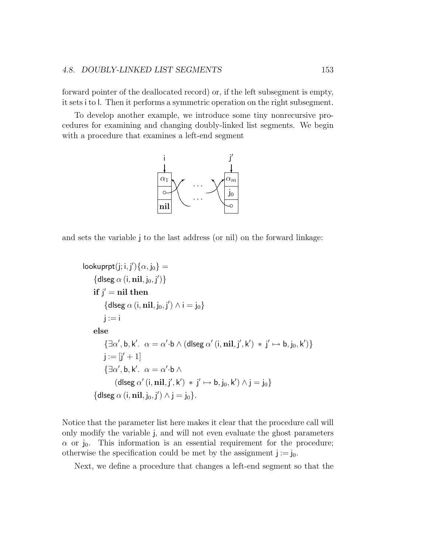#### 4.8. DOUBLY-LINKED LIST SEGMENTS 153

forward pointer of the deallocated record) or, if the left subsegment is empty, it sets i to l. Then it performs a symmetric operation on the right subsegment.

To develop another example, we introduce some tiny nonrecursive procedures for examining and changing doubly-linked list segments. We begin with a procedure that examines a left-end segment



and sets the variable j to the last address (or nil) on the forward linkage:

```
\textsf{lookuppt}(j; i, j')\{\alpha, j_0\} ={d!seq \alpha (i, nil, j_0, j')}if j' = nil then{d!seq \alpha (i, nil, j_0, j') \wedge i = j_0}i := ielse
              \{\exists \alpha',\mathsf{b},\mathsf{k}'.\;\; \alpha=\alpha'\!\cdot\!\mathsf{b} \wedge (\mathsf{dlseg}\; \alpha'\,(\mathsf{i},\mathsf{nil},\mathsf{j}',\mathsf{k}') \; * \; \mathsf{j}' \mapsto \mathsf{b},\mathsf{j}_0,\mathsf{k}')\}j := [j' + 1]\{\exists \alpha', \mathsf{b}, \mathsf{k}'. \ \alpha = \alpha' \cdot \mathsf{b} \wedge(d\text{lseg }\alpha' (i, nil, j', k') \, * j' \mapsto b, j_0, k') \wedge j = j_0\}{dlseg \alpha (i, \textbf{nil}, j_0, j' \rangle \wedge j = j_0 }.
```
Notice that the parameter list here makes it clear that the procedure call will only modify the variable j, and will not even evaluate the ghost parameters  $\alpha$  or j<sub>0</sub>. This information is an essential requirement for the procedure; otherwise the specification could be met by the assignment  $j := j_0$ .

Next, we define a procedure that changes a left-end segment so that the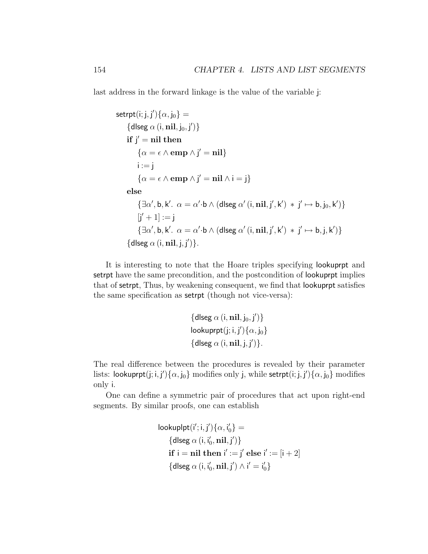last address in the forward linkage is the value of the variable j:

```
\mathsf{setrpt}(\mathsf{i};\mathsf{j},\mathsf{j}')\{\alpha,\mathsf{j}_0\} ={d!seq \alpha (i, nil, j_0, j')}if j' = nil then\{\alpha = \epsilon \wedge \text{emp} \wedge j' = \textbf{nil}\}\i := i\{\alpha = \epsilon \wedge \text{emp} \wedge j' = \text{nil} \wedge i = j\}else
                \{\exists \alpha',\mathsf{b},\mathsf{k}'.\ \alpha=\alpha'\!\cdot\!\mathsf{b}\wedge (\mathsf{dlseg}\ \alpha'(\mathsf{i},\mathsf{nil},\mathsf{j}',\mathsf{k}')\ * \mathsf{j}'\mapsto \mathsf{b},\mathsf{j}_0,\mathsf{k}')\}[j' + 1] := j\{\exists \alpha', \mathsf{b}, \mathsf{k}'. \alpha = \alpha' \cdot \mathsf{b} \wedge (\mathsf{dlseg} \alpha'(\mathsf{i}, \mathsf{nil}, \mathsf{j}', \mathsf{k}') * \mathsf{j}' \mapsto \mathsf{b}, \mathsf{j}, \mathsf{k}')\}\{ dlseg \alpha (i, nil, j, j') \}.
```
It is interesting to note that the Hoare triples specifying lookuprpt and setrpt have the same precondition, and the postcondition of lookuprpt implies that of setrpt, Thus, by weakening consequent, we find that lookuprpt satisfies the same specification as setrpt (though not vice-versa):

$$
\begin{aligned} & \{ \mathsf{dlseg} \; \alpha \left( \mathsf{i}, \mathbf{nil}, \mathsf{j}_0, \mathsf{j}' \right) \} \\ & \mathsf{lookuprpt}(\mathsf{j}; \mathsf{i}, \mathsf{j}') \{ \alpha, \mathsf{j}_0 \} \\ & \{ \mathsf{dlseg} \; \alpha \left( \mathsf{i}, \mathbf{nil}, \mathsf{j}, \mathsf{j}' \right) \} . \end{aligned}
$$

The real difference between the procedures is revealed by their parameter lists: lookuprpt $(\text{j};\text{i},\text{j'})\{\alpha,\text{j}_0\}$  modifies only j, while setrpt $(\text{i};\text{j},\text{j'})\{\alpha,\text{j}_0\}$  modifies only i.

One can define a symmetric pair of procedures that act upon right-end segments. By similar proofs, one can establish

$$
\begin{aligned}\n\text{lookup} &[i';i,j')\{\alpha,i'_0\} = \\
& \{ \text{dlseg } \alpha(i,i'_0,\mathbf{nil},j') \} \\
& \text{if } i = \mathbf{nil} \text{ then } i' := j' \text{ else } i' := [i+2] \\
& \{ \text{dlseg } \alpha(i,i'_0,\mathbf{nil},j') \wedge i' = i'_0 \} \n\end{aligned}
$$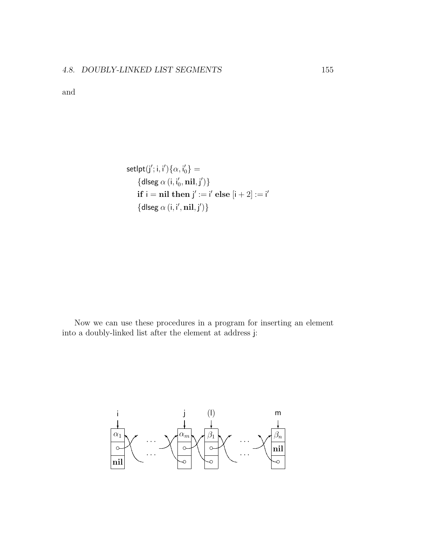and

$$
setlpt(j'; i, i')\{\alpha, i'_0\} =
$$
  

$$
\{d|seg \alpha(i, i'_0, nil, j')\}
$$
  
if i = nil then j' := i' else [i + 2] := i'  

$$
\{d|seg \alpha(i, i', nil, j')\}
$$

Now we can use these procedures in a program for inserting an element into a doubly-linked list after the element at address j:

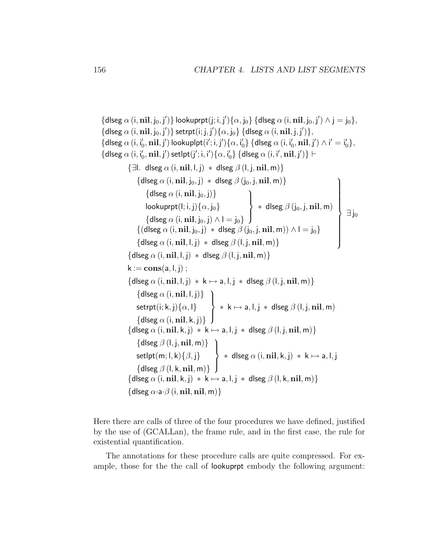```
{dlseg \alpha (i, \textbf{nil}, j_0, j')} lookuprpt(j; i, j'){\alpha, j<sub>0</sub>} {dlseg \alpha (i, \textbf{nil}, j_0, j') \wedge j = j<sub>0</sub>},
\{dlseg \alpha (i, \textbf{nil}, j_0, j')\} setrpt(i; j, j')\{\alpha, j_0\} \{dlseg \alpha (i, \textbf{nil}, j, j')\},\{dlseg \alpha (i, i'<sub>0</sub>, \textbf{nil}, j') lookuplpt(i'; i, j')\{ \alpha, i'_{0} \} \{dlseg \alpha (i, i'_{0}, \textbf{nil}, j') \wedge i'= i'_{0} \},
\{dlseg \alpha (i, i_0', \mathbf{nil}, j') set\mathsf{lpt}(j'; i, i')\{\alpha, i_0'\} \{ dlseg \alpha (i, i', \mathbf{nil}, j')\} \vdash\{\exists l. \text{dlseg } \alpha (i, nil, l, j) \times \text{dlseg } \beta (l, j, nil, m)\}\\{dlseg \alpha (i, nil, j<sub>0</sub>, j) * dlseg \beta (j<sub>0</sub>, j, nil, m)\}\{dlseg \alpha (i, \textbf{nil}, j_0, j) \}lookuprpt(\mathsf{l};\mathsf{i},\mathsf{j})\{\alpha,\mathsf{j}_0\}\{{\operatorname{dlseg}} \; \alpha \left( \mathsf{i}, \mathbf{nil}, \mathsf{j}_0, \mathsf{j} \right) \wedge \mathsf{l} = \mathsf{j}_0\}\mathcal{L}\overline{\mathcal{L}}\int* dlseg \beta (j_0, j, nil, m)\{(\text{dlseg }\alpha)(i, \textbf{nil}, j_0, j) * \text{dlseg }\beta(j_0, j, \textbf{nil}, m)) \wedge I = j_0\}{d lseg \alpha (i, nil, l, j) * d lseg \beta (l, j, nil, m)}\mathcal{L}
                                                                                                                                                            \int\exists j_0\{\mathsf{dlseg}\,\alpha\,(\mathsf{i},\mathsf{nil},\mathsf{l},\mathsf{j}) \; * \; \mathsf{dlseg}\,\beta\,(\mathsf{l},\mathsf{j},\mathsf{nil},\mathsf{m})\}\k := \text{cons}(a, l, j);
                 \{\text{dlseg }\alpha(i, \textbf{nil}, l, j) * k \mapsto a, l, j * \text{dlseg }\beta(l, j, \textbf{nil}, m)\}\\{dlseg \alpha (i, nil, l, j)\}setrpt(\mathsf{i}; \mathsf{k}, \mathsf{j})\{\alpha, \mathsf{l}\}{d!seq \alpha(i, nil, k, j)}\mathcal{L}\overline{\mathcal{L}}\int* k \mapsto a, l, j * dlseg \beta (l, j, \mathbf{nil}, \mathsf{m}){dlseg \alpha (i, nil, k, j) * k \mapsto a, l, j * dlseg \beta (l, j, nil, m)}
                       \{dlseg \beta (l, j, nil, m) }
                       \mathsf{setlpt}(m;l,k)\{\beta,j\}\{dlseg \beta (l, k, nil, m) }
                                                                           \mathcal{L}\overline{\mathcal{L}}\int* dlseg \alpha (i, \textbf{nil}, \textsf{k}, \textsf{j}) * \textsf{k} \mapsto \textsf{a}, \textsf{l}, \textsf{j}\{\text{dlseg }\alpha(i, \text{nil}, k, i) * k \mapsto a, l, i * \text{dlseg }\beta(l, k, \text{nil}, m)\}\\{\mathsf{dlseg}\ \alpha \cdot \mathsf{a} \cdot \beta\ (\mathsf{i}, \mathsf{nil}, \mathsf{nil}, \mathsf{m})\}
```
Here there are calls of three of the four procedures we have defined, justified by the use of (GCALLan), the frame rule, and in the first case, the rule for existential quantification.

The annotations for these procedure calls are quite compressed. For example, those for the the call of lookuprpt embody the following argument: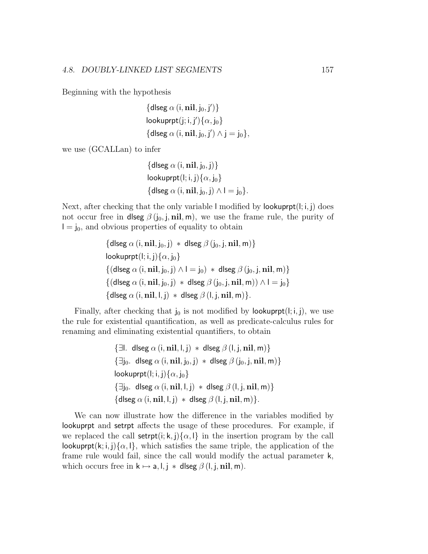Beginning with the hypothesis

$$
\begin{aligned} & \{ \mathsf{dlseg} \; \alpha \left( \mathsf{i}, \mathbf{nil}, \mathsf{j}_0, \mathsf{j}' \right) \} \\ & \mathsf{lookuprpt}(\mathsf{j}; \mathsf{i}, \mathsf{j}') \{ \alpha, \mathsf{j}_0 \} \\ & \{ \mathsf{dlseg} \; \alpha \left( \mathsf{i}, \mathbf{nil}, \mathsf{j}_0, \mathsf{j}' \right) \wedge \mathsf{j} = \mathsf{j}_0 \}, \end{aligned}
$$

we use (GCALLan) to infer

$$
\begin{aligned} & \{ \mathsf{dlseg} \; \alpha \left( \mathsf{i}, \mathbf{nil}, \mathsf{j}_0, \mathsf{j} \right) \} \\ & \mathsf{lookuprpt}(\mathsf{l}; \mathsf{i}, \mathsf{j}) \{ \alpha, \mathsf{j}_0 \} \\ & \{ \mathsf{dlseg} \; \alpha \left( \mathsf{i}, \mathbf{nil}, \mathsf{j}_0, \mathsf{j} \right) \wedge \mathsf{l} = \mathsf{j}_0 \} . \end{aligned}
$$

Next, after checking that the only variable l modified by lookuprpt $(i, i, j)$  does not occur free in dlseg  $\beta$  (j<sub>0</sub>, j, nil, m), we use the frame rule, the purity of  $I = j_0$ , and obvious properties of equality to obtain

$$
\begin{aligned}\n\{\text{dlseg }\alpha\left(i,\textbf{nil},j_0,j\right)\ *\ \text{dlseg }\beta\left(j_0,j,\textbf{nil},m\right)\} \\
\text{lookuprpt}(l;i,j) \{\alpha,j_0\} \\
\{(\text{dlseg }\alpha\left(i,\textbf{nil},j_0,j\right)\land l=j_0)\ *\ \text{dlseg }\beta\left(j_0,j,\textbf{nil},m\right)\} \\
\{(\text{dlseg }\alpha\left(i,\textbf{nil},j_0,j\right)\ *\ \text{dlseg }\beta\left(j_0,j,\textbf{nil},m\right)\land l=j_0\} \\
\{\text{dlseg }\alpha\left(i,\textbf{nil},l,j\right)\ *\ \text{dlseg }\beta\left(l,j,\textbf{nil},m\right)\}.\n\end{aligned}
$$

Finally, after checking that  $j_0$  is not modified by lookuprpt(l; i, j), we use the rule for existential quantification, as well as predicate-calculus rules for renaming and eliminating existential quantifiers, to obtain

```
\{\exists l. \text{dlseg } \alpha (i, nil, l, j) \ast \text{dlseg } \beta (l, j, nil, m)\}\\{\exists j_0. \text{ disse } \alpha(i, \textbf{nil}, j_0, j) \times \text{dlseg } \beta(j_0, j, \textbf{nil}, m)\}\lookuprpt(l; i, j)\{\alpha, j_0\}\{\exists j_0. dlseg \alpha (i, nil, l, j) * dlseg \beta (l, j, nil, m) }
\{\mathsf{dlseg}\ \alpha\ (\mathsf{i}, \mathsf{nil}, \mathsf{l}, \mathsf{j}) \ * \ \mathsf{dlseg}\ \beta\ (\mathsf{l}, \mathsf{j}, \mathsf{nil}, \mathsf{m})\}.
```
We can now illustrate how the difference in the variables modified by lookuprpt and setrpt affects the usage of these procedures. For example, if we replaced the call setrpt(i; k, j){ $\alpha$ , l} in the insertion program by the call lookuprpt(k; i, j) $\{\alpha, \beta\}$ , which satisfies the same triple, the application of the frame rule would fail, since the call would modify the actual parameter k, which occurs free in  $k \mapsto a, l, j *$  dlseg  $\beta$  (l, j, nil, m).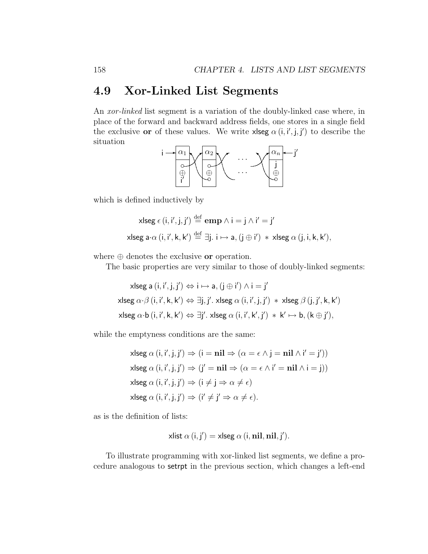### 4.9 Xor-Linked List Segments

An xor-linked list segment is a variation of the doubly-linked case where, in place of the forward and backward address fields, one stores in a single field the exclusive **or** of these values. We write **xlseg**  $\alpha$  (i, i', j, j') to describe the situation



which is defined inductively by

$$
\mathsf{x} \mathsf{lseg} \, \epsilon \, (\mathsf{i}, \mathsf{i}', \mathsf{j}, \mathsf{j}') \stackrel{\text{def}}{=} \mathbf{emp} \, \wedge \mathsf{i} = \mathsf{j} \, \wedge \mathsf{i}' = \mathsf{j}'
$$
\n
$$
\mathsf{x} \mathsf{lseg} \, \mathsf{a} \cdot \alpha \, (\mathsf{i}, \mathsf{i}', \mathsf{k}, \mathsf{k}') \stackrel{\text{def}}{=} \exists \mathsf{j}. \, \mathsf{i} \mapsto \mathsf{a}, (\mathsf{j} \oplus \mathsf{i}') \, * \, \mathsf{x} \mathsf{lseg} \, \alpha \, (\mathsf{j}, \mathsf{i}, \mathsf{k}, \mathsf{k}'),
$$

where  $\oplus$  denotes the exclusive **or** operation.

The basic properties are very similar to those of doubly-linked segments:

$$
\mathsf{x} \mathsf{lseg}\; \mathsf{a}\; (\mathsf{i},\mathsf{i}',\mathsf{j},\mathsf{j}') \Leftrightarrow \mathsf{i} \mapsto \mathsf{a}, (\mathsf{j} \oplus \mathsf{i}') \land \mathsf{i} = \mathsf{j}'
$$
\n
$$
\mathsf{x} \mathsf{lseg}\; \alpha \cdot \beta\; (\mathsf{i},\mathsf{i}',\mathsf{k},\mathsf{k}') \Leftrightarrow \exists \mathsf{j},\mathsf{j}'.\; \mathsf{x} \mathsf{lseg}\; \alpha\; (\mathsf{i},\mathsf{i}',\mathsf{j},\mathsf{j}') \; * \; \mathsf{x} \mathsf{lseg}\; \beta\; (\mathsf{j},\mathsf{j}',\mathsf{k},\mathsf{k}')
$$
\n
$$
\mathsf{x} \mathsf{lseg}\; \alpha \cdot \mathsf{b}\; (\mathsf{i},\mathsf{i}',\mathsf{k},\mathsf{k}') \Leftrightarrow \exists \mathsf{j}'.\; \mathsf{x} \mathsf{lseg}\; \alpha\; (\mathsf{i},\mathsf{i}',\mathsf{k}',\mathsf{j}') \; * \; \mathsf{k}' \mapsto \mathsf{b}, (\mathsf{k} \oplus \mathsf{j}'),
$$

while the emptyness conditions are the same:

 $x \text{lseg } \alpha(i, i', j, j') \Rightarrow (i = nil \Rightarrow (\alpha = \epsilon \land j = nil \land i' = j'))$  $x$ lseg  $\alpha(i, i', j, j') \Rightarrow (j' = nil \Rightarrow (\alpha = \epsilon \wedge i' = nil \wedge i = j))$  $x$ lseg  $\alpha$   $(i, i', j, j') \Rightarrow (i \neq j \Rightarrow \alpha \neq \epsilon)$  $x$ lseg  $\alpha$   $(i, i', j, j') \Rightarrow (i' \neq j' \Rightarrow \alpha \neq \epsilon)$ .

as is the definition of lists:

xlist 
$$
\alpha(i, j') = x \text{lseg } \alpha(i, \text{nil}, \text{nil}, j').
$$

To illustrate programming with xor-linked list segments, we define a procedure analogous to setrpt in the previous section, which changes a left-end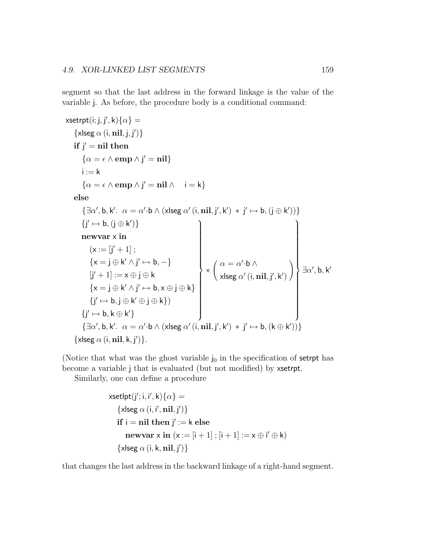segment so that the last address in the forward linkage is the value of the variable j. As before, the procedure body is a conditional command:

```
\mathsf{x}setrpt(i; j, j', k)\{\alpha\} =\{x \leq \alpha (i, nil, j, j') }
      if j' = nil then\{\alpha = \epsilon \wedge \text{emp} \wedge j' = \textbf{nil}\}\i := k\{\alpha = \epsilon \wedge \text{emp} \wedge j' = \text{nil} \wedge i = k\}else
            \{\exists \alpha', \mathsf{b}, \mathsf{k}'. \ \alpha = \alpha' \cdot \mathsf{b} \wedge (\mathsf{x|seg}\ \alpha' \ (\mathsf{i}, \mathsf{nil}, \mathsf{j}', \mathsf{k}') \ * \mathsf{j}' \mapsto \mathsf{b}, (\mathsf{j} \oplus \mathsf{k}') )\}\{j' \mapsto b, (j \oplus k')\}newvar x in
                  (x := [j' + 1];{x = j \oplus k' \land j' \mapsto b, -}[j'+1]:=x\oplus j\oplus k\{x = j \oplus k' \land j' \mapsto b, x \oplus j \oplus k\}{j' \mapsto b, j \oplus k' \oplus j \oplus k}\{j' \mapsto b, k \oplus k'\}\mathcal{L}\begin{array}{c} \hline \end{array}\begin{array}{c} \hline \end{array}∗
                                                                                                                 \alpha = \alpha' \cdot b \wedgexlseg \alpha' (i, \mathbf{nil}, \mathbf{j}', \mathbf{k}')
                                                                                                                                                                            \setminus\mathcal{L}\begin{array}{c} \hline \end{array}\begin{array}{c} \hline \end{array}\exists \alpha', \mathsf{b}, \mathsf{k}'\{\exists \alpha', \mathsf{b}, \mathsf{k}'. \ \alpha = \alpha' \cdot \mathsf{b} \wedge (\mathsf{x|seg}\ \alpha' \ (\mathsf{i}, \mathsf{nil}, \mathsf{j}', \mathsf{k}') \ * \mathsf{j}' \mapsto \mathsf{b}, (\mathsf{k} \oplus \mathsf{k}'))\}\{x \leq \alpha (i, nil, k, j') }.
```
(Notice that what was the ghost variable  $j_0$  in the specification of setrpt has become a variable j that is evaluated (but not modified) by xsetrpt.

Similarly, one can define a procedure

```
xset\text{lpt}(j'; i, i', k)\{\alpha\} =\{x \leq \alpha(i, i', nil, j')\}\text{if } i = \text{nil } \text{then } j' := k \text{ else}newvar x in (x := [i + 1]; [i + 1] := x \oplus i' \oplus k\{x \leq \alpha (i, k, nil, j') }
```
that changes the last address in the backward linkage of a right-hand segment.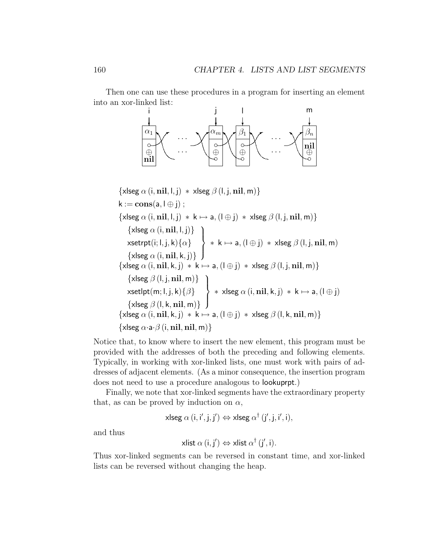Then one can use these procedures in a program for inserting an element into an xor-linked list:



 $\{x \leq \alpha$  (i, nil, l, j) \*  $x \leq \beta$  (l, j, nil, m) }  $k := \mathbf{cons}(a, l \oplus j)$ ;  $\{x \le g \alpha (i, nil, l, j) \cdot k \mapsto a, (l \oplus j) \cdot x \le g \beta (l, j, nil, m)\}$  $\{x \le \alpha(i, \textbf{nil}, l, j)\}$ xsetrpt $(\mathsf{i}; \mathsf{l}, \mathsf{j}, \mathsf{k})\{\alpha\}$  $\{x$ lseg  $\alpha$  (i, nil, k, j)}  $\mathcal{L}$  $\overline{\mathcal{L}}$  $\int$  $*$  k  $\mapsto$  a,  $(\mathsf{I} \oplus \mathsf{j}) \ *$  xlseg  $\beta$   $(\mathsf{I}, \mathsf{j}, \mathsf{nil}, \mathsf{m})$ { $x$ lseg  $\alpha$  (i,  $\overline{\textbf{m}}$ , k, j)  $*$  k  $\mapsto$  a, (l  $\oplus$  j)  $*$  xlseg  $\beta$  (l, j,  $\overline{\textbf{n}}$ l, m)}  $\{x \le g \beta (l, j, nil, m)\}$ xsetlpt $(m;l,j,k)\{\beta\}$  $\{x \le g \beta(l, k, nil, m)\}$  $\mathcal{L}$  $\overline{\mathcal{L}}$  $\int$  $*$  xlseg  $\alpha$   $(i, nil, k, j) * k \mapsto a, (l \oplus j)$  $\{x \le \alpha \ (i, nil, k, j) \ * \ k \mapsto a, (l \oplus j) \ * \ x \le g \ \beta \ (l, k, nil, m)\}$  $\{x \leq \alpha \cdot a \cdot \beta \ (i, nil, nil, m) \}$ 

Notice that, to know where to insert the new element, this program must be provided with the addresses of both the preceding and following elements. Typically, in working with xor-linked lists, one must work with pairs of addresses of adjacent elements. (As a minor consequence, the insertion program does not need to use a procedure analogous to lookuprpt.)

Finally, we note that xor-linked segments have the extraordinary property that, as can be proved by induction on  $\alpha$ ,

xlseg 
$$
\alpha
$$
 (i, i', j, j')  $\Leftrightarrow$  xlseg  $\alpha^{\dagger}$  (j', j, i', i),

and thus

xlist 
$$
\alpha
$$
 (i, j')  $\Leftrightarrow$  xlist  $\alpha^{\dagger}$  (j', i).

Thus xor-linked segments can be reversed in constant time, and xor-linked lists can be reversed without changing the heap.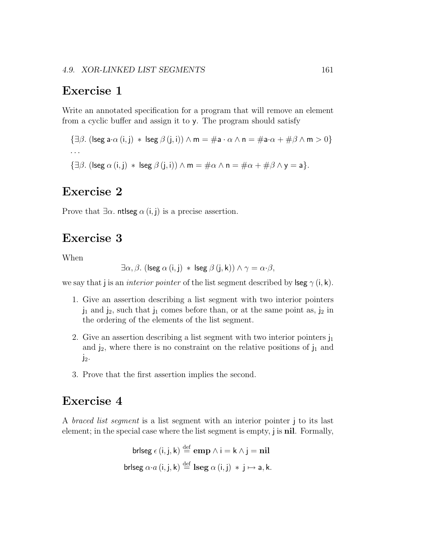### Exercise 1

Write an annotated specification for a program that will remove an element from a cyclic buffer and assign it to y. The program should satisfy

```
{\exists \beta. (lseg a·\alpha (i, j) * lseg \beta (j, i)) \land m = #a · \alpha \land n = #a·\alpha + \#\beta \land m > 0}
· · ·
{\exists \beta. (lseg \alpha (i, j) * lseg \beta (j, i)) \wedge m = \#\alpha \wedge n = \#\alpha + \#\beta \wedge y = a }.
```
## Exercise 2

Prove that  $\exists \alpha$ . ntlseg  $\alpha$  (i, j) is a precise assertion.

## Exercise 3

When

$$
\exists \alpha, \beta. \ (\text{lseg } \alpha \text{ (i, j)} \ * \ \text{lseg } \beta \text{ (j, k)}) \land \gamma = \alpha \cdot \beta,
$$

we say that j is an *interior pointer* of the list segment described by lseg  $\gamma$  (i, k).

- 1. Give an assertion describing a list segment with two interior pointers  $j_1$  and  $j_2$ , such that  $j_1$  comes before than, or at the same point as,  $j_2$  in the ordering of the elements of the list segment.
- 2. Give an assertion describing a list segment with two interior pointers  $j_1$ and  $j_2$ , where there is no constraint on the relative positions of  $j_1$  and  $j_2$ .
- 3. Prove that the first assertion implies the second.

## Exercise 4

A braced list segment is a list segment with an interior pointer j to its last element; in the special case where the list segment is empty, j is nil. Formally,

```
brlseg \epsilon\left( \mathsf{i},\mathsf{j},\mathsf{k}\right) \overset{\text{def}}{=}\mathbf{emp}\wedge\mathsf{i}=\mathsf{k}\wedge\mathsf{j}=\mathbf{nil}brlseg \alpha \cdot a (\mathsf{i},\mathsf{j},\mathsf{k}) \stackrel{\rm def}{=} \mathbf{l} \mathbf{seg} \; \alpha \, (\mathsf{i},\mathsf{j}) \, \ast \, \mathsf{j} \mapsto \mathsf{a}, \mathsf{k}.
```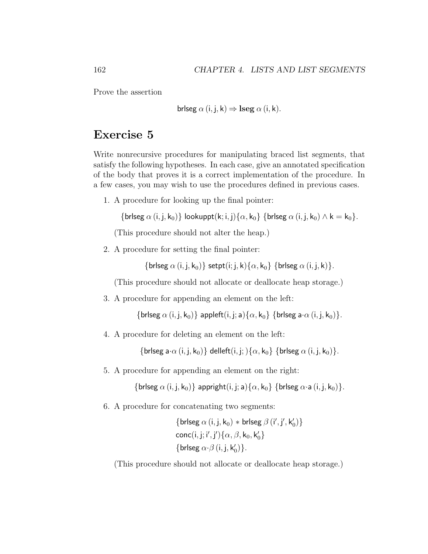Prove the assertion

brlseg 
$$
α
$$
 (i, j, k) ⇒ lseg  $α$  (i, k).

### Exercise 5

Write nonrecursive procedures for manipulating braced list segments, that satisfy the following hypotheses. In each case, give an annotated specification of the body that proves it is a correct implementation of the procedure. In a few cases, you may wish to use the procedures defined in previous cases.

1. A procedure for looking up the final pointer:

{briseg  $\alpha$  (i, j, k<sub>0</sub>)} lookuppt(k; i, j){ $\alpha$ , k<sub>0</sub>} {briseg  $\alpha$  (i, j, k<sub>0</sub>)  $\wedge$  k = k<sub>0</sub>}.

(This procedure should not alter the heap.)

2. A procedure for setting the final pointer:

{brlseg  $\alpha$  (i, j, k<sub>0</sub>)} setpt(i; j, k){ $\alpha$ , k<sub>0</sub>} {brlseg  $\alpha$  (i, j, k)}.

(This procedure should not allocate or deallocate heap storage.)

3. A procedure for appending an element on the left:

{brlseg  $\alpha$  (i, j, k<sub>0</sub>)} appleft(i, j; a){ $\alpha$ , k<sub>0</sub>} {brlseg a· $\alpha$  (i, j, k<sub>0</sub>)}.

4. A procedure for deleting an element on the left:

{brlseg a· $\alpha$  (i, j, k<sub>0</sub>)} delleft(i, j; ){ $\alpha$ , k<sub>0</sub>} {brlseg  $\alpha$  (i, j, k<sub>0</sub>)}.

5. A procedure for appending an element on the right:

{brlseg  $\alpha$  (i, j, k<sub>0</sub>)} appright(i, j; a){ $\alpha$ , k<sub>0</sub>} {brlseg  $\alpha$ ·a (i, j, k<sub>0</sub>)}.

6. A procedure for concatenating two segments:

 $\{{\sf brlseg}~\alpha\ ({\sf i,j,k_0}) \ast {\sf brlseg}~\beta\ ({\sf i}',{\sf j}',{\sf k}'_0)\}$  $\mathsf{conc}(\mathsf{i},\mathsf{j};\mathsf{i}',\mathsf{j}')\{\alpha,\beta,\mathsf{k}_0,\mathsf{k}'_0\}$  $\{\mathsf{brlseg}\ \alpha\!\cdot\!\beta\,(\mathsf{i}, \mathsf{j}, \mathsf{k}_0')\}.$ 

(This procedure should not allocate or deallocate heap storage.)